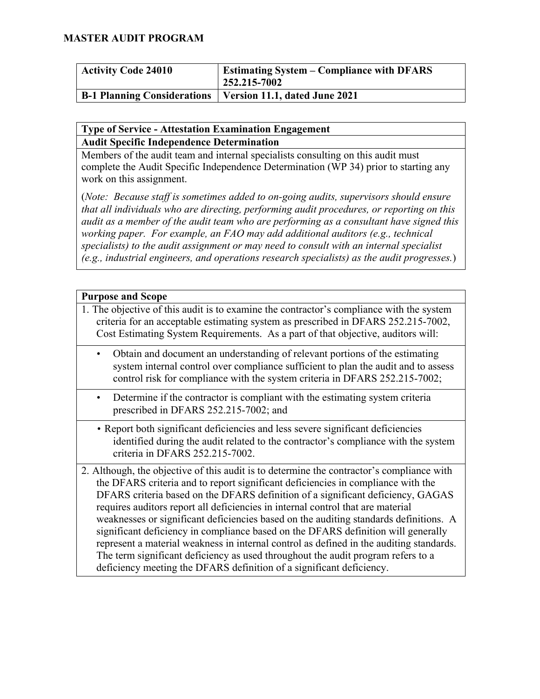| <b>Activity Code 24010</b>         | <b>Estimating System – Compliance with DFARS</b><br>252.215-7002 |
|------------------------------------|------------------------------------------------------------------|
| <b>B-1 Planning Considerations</b> | Version 11.1, dated June 2021                                    |

#### **Type of Service - Attestation Examination Engagement Audit Specific Independence Determination**

Members of the audit team and internal specialists consulting on this audit must complete the Audit Specific Independence Determination (WP 34) prior to starting any work on this assignment.

(*Note: Because staff is sometimes added to on-going audits, supervisors should ensure that all individuals who are directing, performing audit procedures, or reporting on this audit as a member of the audit team who are performing as a consultant have signed this working paper. For example, an FAO may add additional auditors (e.g., technical specialists) to the audit assignment or may need to consult with an internal specialist (e.g., industrial engineers, and operations research specialists) as the audit progresses.*)

| <b>Purpose and Scope</b>                                                                                                                                                                                                                                                                                                                                                                                                                                                                                                                                                                                                                                                                                                                                                                 |  |
|------------------------------------------------------------------------------------------------------------------------------------------------------------------------------------------------------------------------------------------------------------------------------------------------------------------------------------------------------------------------------------------------------------------------------------------------------------------------------------------------------------------------------------------------------------------------------------------------------------------------------------------------------------------------------------------------------------------------------------------------------------------------------------------|--|
| 1. The objective of this audit is to examine the contractor's compliance with the system<br>criteria for an acceptable estimating system as prescribed in DFARS 252.215-7002,<br>Cost Estimating System Requirements. As a part of that objective, auditors will:                                                                                                                                                                                                                                                                                                                                                                                                                                                                                                                        |  |
| Obtain and document an understanding of relevant portions of the estimating<br>system internal control over compliance sufficient to plan the audit and to assess<br>control risk for compliance with the system criteria in DFARS 252.215-7002;                                                                                                                                                                                                                                                                                                                                                                                                                                                                                                                                         |  |
| Determine if the contractor is compliant with the estimating system criteria<br>$\bullet$<br>prescribed in DFARS 252.215-7002; and                                                                                                                                                                                                                                                                                                                                                                                                                                                                                                                                                                                                                                                       |  |
| • Report both significant deficiencies and less severe significant deficiencies<br>identified during the audit related to the contractor's compliance with the system<br>criteria in DFARS 252.215-7002.                                                                                                                                                                                                                                                                                                                                                                                                                                                                                                                                                                                 |  |
| 2. Although, the objective of this audit is to determine the contractor's compliance with<br>the DFARS criteria and to report significant deficiencies in compliance with the<br>DFARS criteria based on the DFARS definition of a significant deficiency, GAGAS<br>requires auditors report all deficiencies in internal control that are material<br>weaknesses or significant deficiencies based on the auditing standards definitions. A<br>significant deficiency in compliance based on the DFARS definition will generally<br>represent a material weakness in internal control as defined in the auditing standards.<br>The term significant deficiency as used throughout the audit program refers to a<br>deficiency meeting the DFARS definition of a significant deficiency. |  |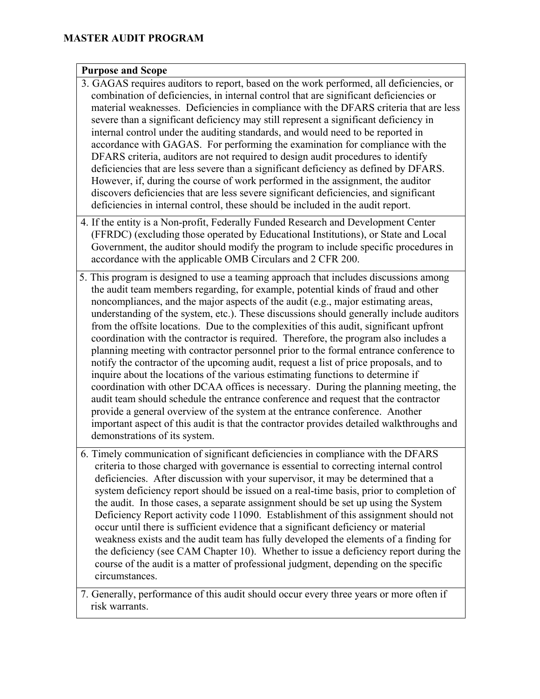#### **Purpose and Scope**

- 3. GAGAS requires auditors to report, based on the work performed, all deficiencies, or combination of deficiencies, in internal control that are significant deficiencies or material weaknesses. Deficiencies in compliance with the DFARS criteria that are less severe than a significant deficiency may still represent a significant deficiency in internal control under the auditing standards, and would need to be reported in accordance with GAGAS. For performing the examination for compliance with the DFARS criteria, auditors are not required to design audit procedures to identify deficiencies that are less severe than a significant deficiency as defined by DFARS. However, if, during the course of work performed in the assignment, the auditor discovers deficiencies that are less severe significant deficiencies, and significant deficiencies in internal control, these should be included in the audit report.
- 4. If the entity is a Non-profit, Federally Funded Research and Development Center (FFRDC) (excluding those operated by Educational Institutions), or State and Local Government, the auditor should modify the program to include specific procedures in accordance with the applicable OMB Circulars and 2 CFR 200.
- 5. This program is designed to use a teaming approach that includes discussions among the audit team members regarding, for example, potential kinds of fraud and other noncompliances, and the major aspects of the audit (e.g., major estimating areas, understanding of the system, etc.). These discussions should generally include auditors from the offsite locations. Due to the complexities of this audit, significant upfront coordination with the contractor is required. Therefore, the program also includes a planning meeting with contractor personnel prior to the formal entrance conference to notify the contractor of the upcoming audit, request a list of price proposals, and to inquire about the locations of the various estimating functions to determine if coordination with other DCAA offices is necessary. During the planning meeting, the audit team should schedule the entrance conference and request that the contractor provide a general overview of the system at the entrance conference. Another important aspect of this audit is that the contractor provides detailed walkthroughs and demonstrations of its system.
- 6. Timely communication of significant deficiencies in compliance with the DFARS criteria to those charged with governance is essential to correcting internal control deficiencies. After discussion with your supervisor, it may be determined that a system deficiency report should be issued on a real-time basis, prior to completion of the audit. In those cases, a separate assignment should be set up using the System Deficiency Report activity code 11090. Establishment of this assignment should not occur until there is sufficient evidence that a significant deficiency or material weakness exists and the audit team has fully developed the elements of a finding for the deficiency (see CAM Chapter 10). Whether to issue a deficiency report during the course of the audit is a matter of professional judgment, depending on the specific circumstances.

7. Generally, performance of this audit should occur every three years or more often if risk warrants.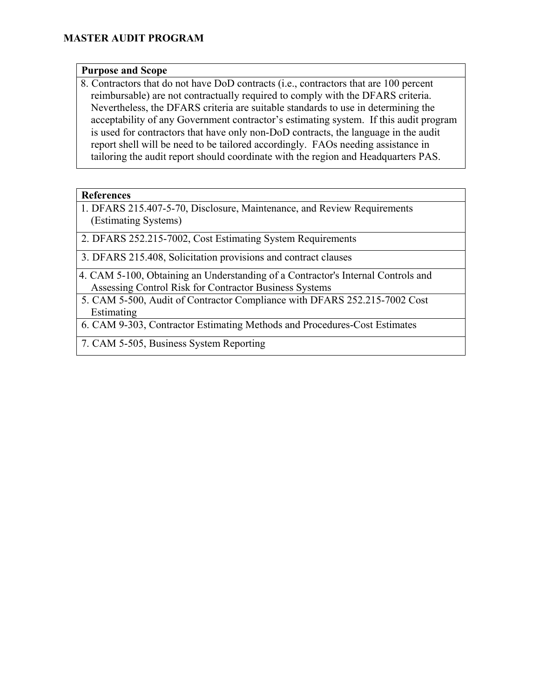#### **Purpose and Scope**

8. Contractors that do not have DoD contracts (i.e., contractors that are 100 percent reimbursable) are not contractually required to comply with the DFARS criteria. Nevertheless, the DFARS criteria are suitable standards to use in determining the acceptability of any Government contractor's estimating system. If this audit program is used for contractors that have only non-DoD contracts, the language in the audit report shell will be need to be tailored accordingly. FAOs needing assistance in tailoring the audit report should coordinate with the region and Headquarters PAS.

#### **References**

1. DFARS 215.407-5-70, Disclosure, Maintenance, and Review Requirements (Estimating Systems)

2. DFARS 252.215-7002, Cost Estimating System Requirements

3. DFARS 215.408, Solicitation provisions and contract clauses

- 4. CAM 5-100, Obtaining an Understanding of a Contractor's Internal Controls and Assessing Control Risk for Contractor Business Systems
- 5. CAM 5-500, Audit of Contractor Compliance with DFARS 252.215-7002 Cost Estimating
- 6. CAM 9-303, Contractor Estimating Methods and Procedures-Cost Estimates
- 7. CAM 5-505, Business System Reporting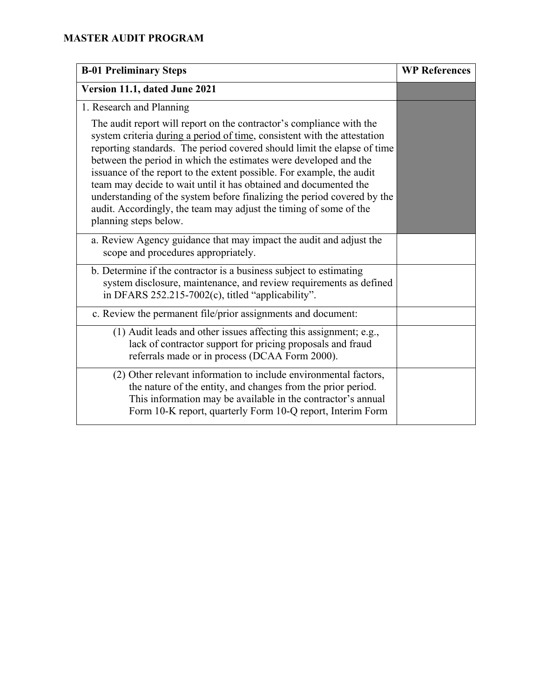| <b>B-01 Preliminary Steps</b>                                                                                                                                                                                                                                                                                                                                                                                                                                                                                                                                                                                         | <b>WP References</b> |
|-----------------------------------------------------------------------------------------------------------------------------------------------------------------------------------------------------------------------------------------------------------------------------------------------------------------------------------------------------------------------------------------------------------------------------------------------------------------------------------------------------------------------------------------------------------------------------------------------------------------------|----------------------|
| Version 11.1, dated June 2021                                                                                                                                                                                                                                                                                                                                                                                                                                                                                                                                                                                         |                      |
| 1. Research and Planning                                                                                                                                                                                                                                                                                                                                                                                                                                                                                                                                                                                              |                      |
| The audit report will report on the contractor's compliance with the<br>system criteria during a period of time, consistent with the attestation<br>reporting standards. The period covered should limit the elapse of time<br>between the period in which the estimates were developed and the<br>issuance of the report to the extent possible. For example, the audit<br>team may decide to wait until it has obtained and documented the<br>understanding of the system before finalizing the period covered by the<br>audit. Accordingly, the team may adjust the timing of some of the<br>planning steps below. |                      |
| a. Review Agency guidance that may impact the audit and adjust the<br>scope and procedures appropriately.                                                                                                                                                                                                                                                                                                                                                                                                                                                                                                             |                      |
| b. Determine if the contractor is a business subject to estimating<br>system disclosure, maintenance, and review requirements as defined<br>in DFARS 252.215-7002(c), titled "applicability".                                                                                                                                                                                                                                                                                                                                                                                                                         |                      |
| c. Review the permanent file/prior assignments and document:                                                                                                                                                                                                                                                                                                                                                                                                                                                                                                                                                          |                      |
| (1) Audit leads and other issues affecting this assignment; e.g.,<br>lack of contractor support for pricing proposals and fraud<br>referrals made or in process (DCAA Form 2000).                                                                                                                                                                                                                                                                                                                                                                                                                                     |                      |
| (2) Other relevant information to include environmental factors,<br>the nature of the entity, and changes from the prior period.<br>This information may be available in the contractor's annual<br>Form 10-K report, quarterly Form 10-Q report, Interim Form                                                                                                                                                                                                                                                                                                                                                        |                      |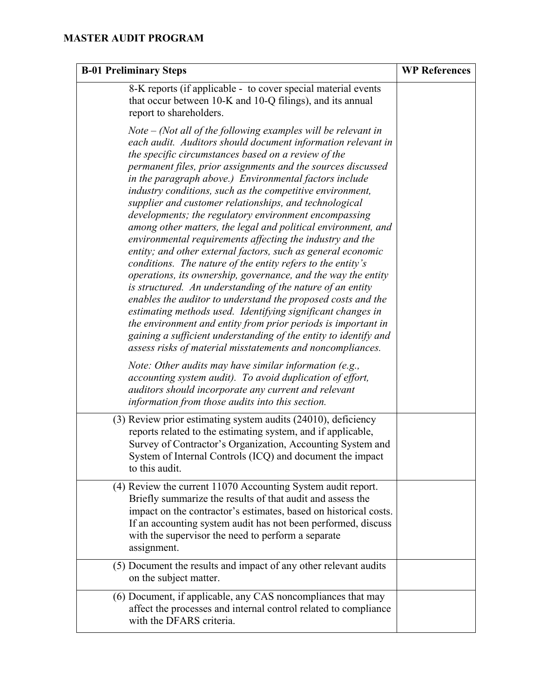| <b>B-01 Preliminary Steps</b>                                                                                                                                                                                                                                                                                                                                                                                                                                                                                                                                                                                                                                                                                                                                                                                                                                                                                                                                                                                                                                                                                                                                                                                                  | <b>WP References</b> |
|--------------------------------------------------------------------------------------------------------------------------------------------------------------------------------------------------------------------------------------------------------------------------------------------------------------------------------------------------------------------------------------------------------------------------------------------------------------------------------------------------------------------------------------------------------------------------------------------------------------------------------------------------------------------------------------------------------------------------------------------------------------------------------------------------------------------------------------------------------------------------------------------------------------------------------------------------------------------------------------------------------------------------------------------------------------------------------------------------------------------------------------------------------------------------------------------------------------------------------|----------------------|
| 8-K reports (if applicable - to cover special material events<br>that occur between 10-K and 10-Q filings), and its annual<br>report to shareholders.                                                                                                                                                                                                                                                                                                                                                                                                                                                                                                                                                                                                                                                                                                                                                                                                                                                                                                                                                                                                                                                                          |                      |
| $Note - (Not all of the following examples will be relevant in$<br>each audit. Auditors should document information relevant in<br>the specific circumstances based on a review of the<br>permanent files, prior assignments and the sources discussed<br>in the paragraph above.) Environmental factors include<br>industry conditions, such as the competitive environment,<br>supplier and customer relationships, and technological<br>developments; the regulatory environment encompassing<br>among other matters, the legal and political environment, and<br>environmental requirements affecting the industry and the<br>entity; and other external factors, such as general economic<br>conditions. The nature of the entity refers to the entity's<br>operations, its ownership, governance, and the way the entity<br>is structured. An understanding of the nature of an entity<br>enables the auditor to understand the proposed costs and the<br>estimating methods used. Identifying significant changes in<br>the environment and entity from prior periods is important in<br>gaining a sufficient understanding of the entity to identify and<br>assess risks of material misstatements and noncompliances. |                      |
| <i>Note: Other audits may have similar information (e.g.,</i><br>accounting system audit). To avoid duplication of effort,<br>auditors should incorporate any current and relevant<br>information from those audits into this section.                                                                                                                                                                                                                                                                                                                                                                                                                                                                                                                                                                                                                                                                                                                                                                                                                                                                                                                                                                                         |                      |
| (3) Review prior estimating system audits (24010), deficiency<br>reports related to the estimating system, and if applicable,<br>Survey of Contractor's Organization, Accounting System and<br>System of Internal Controls (ICQ) and document the impact<br>to this audit.                                                                                                                                                                                                                                                                                                                                                                                                                                                                                                                                                                                                                                                                                                                                                                                                                                                                                                                                                     |                      |
| (4) Review the current 11070 Accounting System audit report.<br>Briefly summarize the results of that audit and assess the<br>impact on the contractor's estimates, based on historical costs.<br>If an accounting system audit has not been performed, discuss<br>with the supervisor the need to perform a separate<br>assignment.                                                                                                                                                                                                                                                                                                                                                                                                                                                                                                                                                                                                                                                                                                                                                                                                                                                                                           |                      |
| (5) Document the results and impact of any other relevant audits<br>on the subject matter.                                                                                                                                                                                                                                                                                                                                                                                                                                                                                                                                                                                                                                                                                                                                                                                                                                                                                                                                                                                                                                                                                                                                     |                      |
| (6) Document, if applicable, any CAS noncompliances that may<br>affect the processes and internal control related to compliance<br>with the DFARS criteria.                                                                                                                                                                                                                                                                                                                                                                                                                                                                                                                                                                                                                                                                                                                                                                                                                                                                                                                                                                                                                                                                    |                      |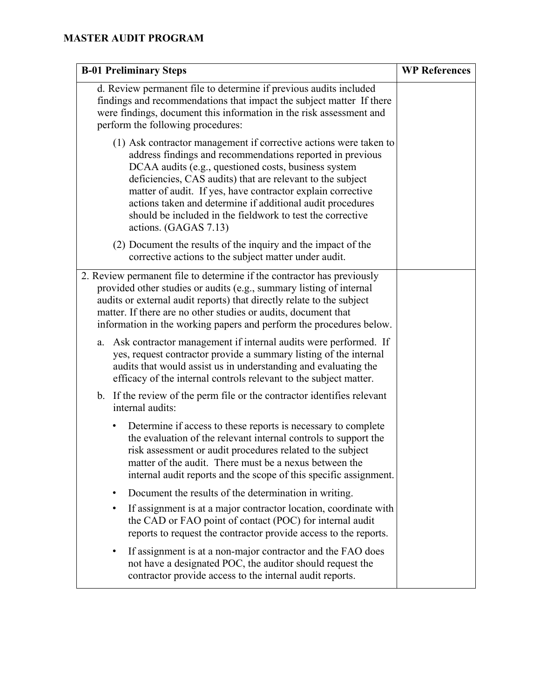| <b>B-01 Preliminary Steps</b>                                                                                                                                                                                                                                                                                                                                                                                                                                            | <b>WP References</b> |
|--------------------------------------------------------------------------------------------------------------------------------------------------------------------------------------------------------------------------------------------------------------------------------------------------------------------------------------------------------------------------------------------------------------------------------------------------------------------------|----------------------|
| d. Review permanent file to determine if previous audits included<br>findings and recommendations that impact the subject matter If there<br>were findings, document this information in the risk assessment and<br>perform the following procedures:                                                                                                                                                                                                                    |                      |
| (1) Ask contractor management if corrective actions were taken to<br>address findings and recommendations reported in previous<br>DCAA audits (e.g., questioned costs, business system<br>deficiencies, CAS audits) that are relevant to the subject<br>matter of audit. If yes, have contractor explain corrective<br>actions taken and determine if additional audit procedures<br>should be included in the fieldwork to test the corrective<br>actions. (GAGAS 7.13) |                      |
| (2) Document the results of the inquiry and the impact of the<br>corrective actions to the subject matter under audit.                                                                                                                                                                                                                                                                                                                                                   |                      |
| 2. Review permanent file to determine if the contractor has previously<br>provided other studies or audits (e.g., summary listing of internal<br>audits or external audit reports) that directly relate to the subject<br>matter. If there are no other studies or audits, document that<br>information in the working papers and perform the procedures below.                                                                                                          |                      |
| Ask contractor management if internal audits were performed. If<br>a.<br>yes, request contractor provide a summary listing of the internal<br>audits that would assist us in understanding and evaluating the<br>efficacy of the internal controls relevant to the subject matter.                                                                                                                                                                                       |                      |
| b. If the review of the perm file or the contractor identifies relevant<br>internal audits:                                                                                                                                                                                                                                                                                                                                                                              |                      |
| Determine if access to these reports is necessary to complete<br>٠<br>the evaluation of the relevant internal controls to support the<br>risk assessment or audit procedures related to the subject<br>matter of the audit. There must be a nexus between the<br>internal audit reports and the scope of this specific assignment.                                                                                                                                       |                      |
| Document the results of the determination in writing.<br>٠                                                                                                                                                                                                                                                                                                                                                                                                               |                      |
| If assignment is at a major contractor location, coordinate with<br>٠<br>the CAD or FAO point of contact (POC) for internal audit<br>reports to request the contractor provide access to the reports.                                                                                                                                                                                                                                                                    |                      |
| If assignment is at a non-major contractor and the FAO does<br>٠<br>not have a designated POC, the auditor should request the<br>contractor provide access to the internal audit reports.                                                                                                                                                                                                                                                                                |                      |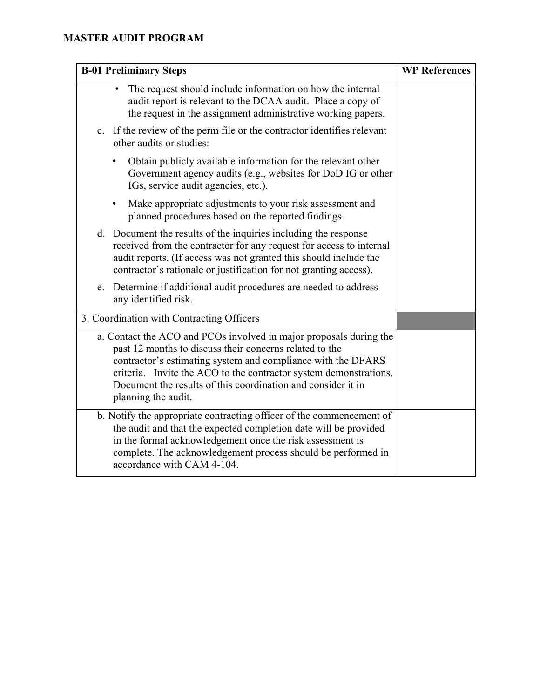| <b>B-01 Preliminary Steps</b>                                                                                                                                                                                                                                                                                                                             | <b>WP References</b> |
|-----------------------------------------------------------------------------------------------------------------------------------------------------------------------------------------------------------------------------------------------------------------------------------------------------------------------------------------------------------|----------------------|
| The request should include information on how the internal<br>audit report is relevant to the DCAA audit. Place a copy of<br>the request in the assignment administrative working papers.                                                                                                                                                                 |                      |
| c. If the review of the perm file or the contractor identifies relevant<br>other audits or studies:                                                                                                                                                                                                                                                       |                      |
| Obtain publicly available information for the relevant other<br>٠<br>Government agency audits (e.g., websites for DoD IG or other<br>IGs, service audit agencies, etc.).                                                                                                                                                                                  |                      |
| Make appropriate adjustments to your risk assessment and<br>$\bullet$<br>planned procedures based on the reported findings.                                                                                                                                                                                                                               |                      |
| d. Document the results of the inquiries including the response<br>received from the contractor for any request for access to internal<br>audit reports. (If access was not granted this should include the<br>contractor's rationale or justification for not granting access).                                                                          |                      |
| e. Determine if additional audit procedures are needed to address<br>any identified risk.                                                                                                                                                                                                                                                                 |                      |
| 3. Coordination with Contracting Officers                                                                                                                                                                                                                                                                                                                 |                      |
| a. Contact the ACO and PCOs involved in major proposals during the<br>past 12 months to discuss their concerns related to the<br>contractor's estimating system and compliance with the DFARS<br>criteria. Invite the ACO to the contractor system demonstrations.<br>Document the results of this coordination and consider it in<br>planning the audit. |                      |
| b. Notify the appropriate contracting officer of the commencement of<br>the audit and that the expected completion date will be provided<br>in the formal acknowledgement once the risk assessment is<br>complete. The acknowledgement process should be performed in<br>accordance with CAM 4-104.                                                       |                      |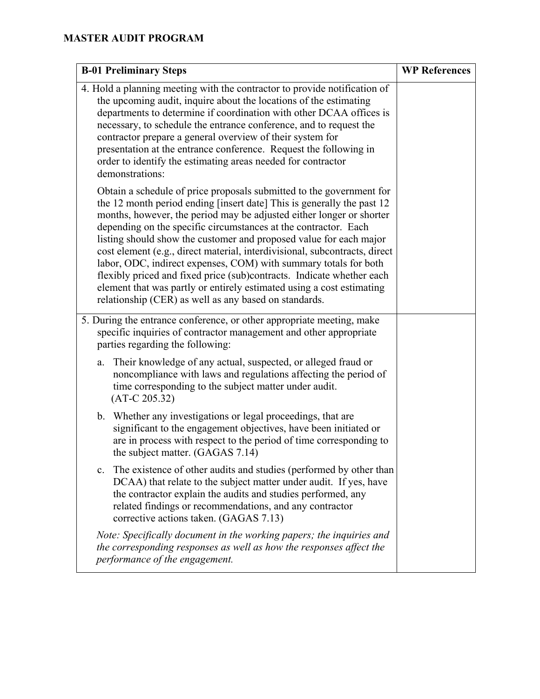| <b>B-01 Preliminary Steps</b>                                                                                                                                                                                                                                                                                                                                                                                                                                                                                                                                                                                                                                                                                                | <b>WP References</b> |
|------------------------------------------------------------------------------------------------------------------------------------------------------------------------------------------------------------------------------------------------------------------------------------------------------------------------------------------------------------------------------------------------------------------------------------------------------------------------------------------------------------------------------------------------------------------------------------------------------------------------------------------------------------------------------------------------------------------------------|----------------------|
| 4. Hold a planning meeting with the contractor to provide notification of<br>the upcoming audit, inquire about the locations of the estimating<br>departments to determine if coordination with other DCAA offices is<br>necessary, to schedule the entrance conference, and to request the<br>contractor prepare a general overview of their system for<br>presentation at the entrance conference. Request the following in<br>order to identify the estimating areas needed for contractor<br>demonstrations:                                                                                                                                                                                                             |                      |
| Obtain a schedule of price proposals submitted to the government for<br>the 12 month period ending [insert date] This is generally the past 12<br>months, however, the period may be adjusted either longer or shorter<br>depending on the specific circumstances at the contractor. Each<br>listing should show the customer and proposed value for each major<br>cost element (e.g., direct material, interdivisional, subcontracts, direct<br>labor, ODC, indirect expenses, COM) with summary totals for both<br>flexibly priced and fixed price (sub)contracts. Indicate whether each<br>element that was partly or entirely estimated using a cost estimating<br>relationship (CER) as well as any based on standards. |                      |
| 5. During the entrance conference, or other appropriate meeting, make<br>specific inquiries of contractor management and other appropriate<br>parties regarding the following:                                                                                                                                                                                                                                                                                                                                                                                                                                                                                                                                               |                      |
| Their knowledge of any actual, suspected, or alleged fraud or<br>a.<br>noncompliance with laws and regulations affecting the period of<br>time corresponding to the subject matter under audit.<br>$(AT-C 205.32)$                                                                                                                                                                                                                                                                                                                                                                                                                                                                                                           |                      |
| b. Whether any investigations or legal proceedings, that are<br>significant to the engagement objectives, have been initiated or<br>are in process with respect to the period of time corresponding to<br>the subject matter. (GAGAS 7.14)                                                                                                                                                                                                                                                                                                                                                                                                                                                                                   |                      |
| c. The existence of other audits and studies (performed by other than<br>DCAA) that relate to the subject matter under audit. If yes, have<br>the contractor explain the audits and studies performed, any<br>related findings or recommendations, and any contractor<br>corrective actions taken. (GAGAS 7.13)                                                                                                                                                                                                                                                                                                                                                                                                              |                      |
| Note: Specifically document in the working papers; the inquiries and<br>the corresponding responses as well as how the responses affect the<br>performance of the engagement.                                                                                                                                                                                                                                                                                                                                                                                                                                                                                                                                                |                      |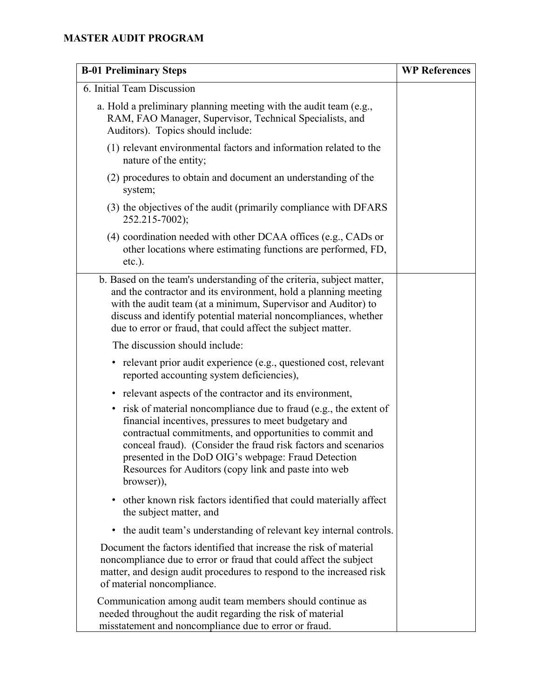| <b>B-01 Preliminary Steps</b>                                                                                                                                                                                                                                                                                                                                                                     | <b>WP References</b> |
|---------------------------------------------------------------------------------------------------------------------------------------------------------------------------------------------------------------------------------------------------------------------------------------------------------------------------------------------------------------------------------------------------|----------------------|
| 6. Initial Team Discussion                                                                                                                                                                                                                                                                                                                                                                        |                      |
| a. Hold a preliminary planning meeting with the audit team (e.g.,<br>RAM, FAO Manager, Supervisor, Technical Specialists, and<br>Auditors). Topics should include:                                                                                                                                                                                                                                |                      |
| (1) relevant environmental factors and information related to the<br>nature of the entity;                                                                                                                                                                                                                                                                                                        |                      |
| (2) procedures to obtain and document an understanding of the<br>system;                                                                                                                                                                                                                                                                                                                          |                      |
| (3) the objectives of the audit (primarily compliance with DFARS<br>252.215-7002);                                                                                                                                                                                                                                                                                                                |                      |
| $(4)$ coordination needed with other DCAA offices (e.g., CADs or<br>other locations where estimating functions are performed, FD,<br>$etc.$ ).                                                                                                                                                                                                                                                    |                      |
| b. Based on the team's understanding of the criteria, subject matter,<br>and the contractor and its environment, hold a planning meeting<br>with the audit team (at a minimum, Supervisor and Auditor) to<br>discuss and identify potential material noncompliances, whether<br>due to error or fraud, that could affect the subject matter.                                                      |                      |
| The discussion should include:                                                                                                                                                                                                                                                                                                                                                                    |                      |
| • relevant prior audit experience (e.g., questioned cost, relevant<br>reported accounting system deficiencies),                                                                                                                                                                                                                                                                                   |                      |
| relevant aspects of the contractor and its environment,<br>$\bullet$                                                                                                                                                                                                                                                                                                                              |                      |
| risk of material noncompliance due to fraud (e.g., the extent of<br>$\bullet$<br>financial incentives, pressures to meet budgetary and<br>contractual commitments, and opportunities to commit and<br>conceal fraud). (Consider the fraud risk factors and scenarios<br>presented in the DoD OIG's webpage: Fraud Detection<br>Resources for Auditors (copy link and paste into web<br>browser)), |                      |
| other known risk factors identified that could materially affect<br>$\bullet$<br>the subject matter, and                                                                                                                                                                                                                                                                                          |                      |
| the audit team's understanding of relevant key internal controls.<br>٠                                                                                                                                                                                                                                                                                                                            |                      |
| Document the factors identified that increase the risk of material<br>noncompliance due to error or fraud that could affect the subject<br>matter, and design audit procedures to respond to the increased risk<br>of material noncompliance.                                                                                                                                                     |                      |
| Communication among audit team members should continue as<br>needed throughout the audit regarding the risk of material<br>misstatement and noncompliance due to error or fraud.                                                                                                                                                                                                                  |                      |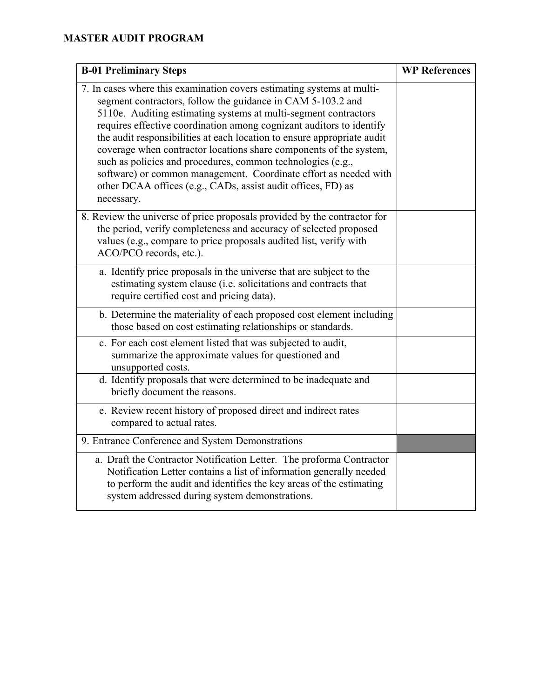| <b>B-01 Preliminary Steps</b>                                                                                                                                                                                                                                                                                                                                                                                                                                                                                                                                                                                                                      | <b>WP References</b> |
|----------------------------------------------------------------------------------------------------------------------------------------------------------------------------------------------------------------------------------------------------------------------------------------------------------------------------------------------------------------------------------------------------------------------------------------------------------------------------------------------------------------------------------------------------------------------------------------------------------------------------------------------------|----------------------|
| 7. In cases where this examination covers estimating systems at multi-<br>segment contractors, follow the guidance in CAM 5-103.2 and<br>5110e. Auditing estimating systems at multi-segment contractors<br>requires effective coordination among cognizant auditors to identify<br>the audit responsibilities at each location to ensure appropriate audit<br>coverage when contractor locations share components of the system,<br>such as policies and procedures, common technologies (e.g.,<br>software) or common management. Coordinate effort as needed with<br>other DCAA offices (e.g., CADs, assist audit offices, FD) as<br>necessary. |                      |
| 8. Review the universe of price proposals provided by the contractor for<br>the period, verify completeness and accuracy of selected proposed<br>values (e.g., compare to price proposals audited list, verify with<br>ACO/PCO records, etc.).                                                                                                                                                                                                                                                                                                                                                                                                     |                      |
| a. Identify price proposals in the universe that are subject to the<br>estimating system clause (i.e. solicitations and contracts that<br>require certified cost and pricing data).                                                                                                                                                                                                                                                                                                                                                                                                                                                                |                      |
| b. Determine the materiality of each proposed cost element including<br>those based on cost estimating relationships or standards.                                                                                                                                                                                                                                                                                                                                                                                                                                                                                                                 |                      |
| c. For each cost element listed that was subjected to audit,<br>summarize the approximate values for questioned and<br>unsupported costs.                                                                                                                                                                                                                                                                                                                                                                                                                                                                                                          |                      |
| d. Identify proposals that were determined to be inadequate and<br>briefly document the reasons.                                                                                                                                                                                                                                                                                                                                                                                                                                                                                                                                                   |                      |
| e. Review recent history of proposed direct and indirect rates<br>compared to actual rates.                                                                                                                                                                                                                                                                                                                                                                                                                                                                                                                                                        |                      |
| 9. Entrance Conference and System Demonstrations                                                                                                                                                                                                                                                                                                                                                                                                                                                                                                                                                                                                   |                      |
| a. Draft the Contractor Notification Letter. The proforma Contractor<br>Notification Letter contains a list of information generally needed<br>to perform the audit and identifies the key areas of the estimating<br>system addressed during system demonstrations.                                                                                                                                                                                                                                                                                                                                                                               |                      |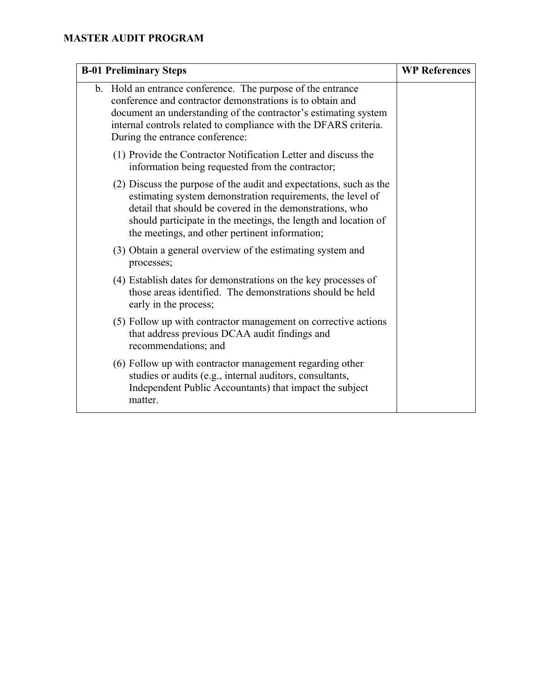| <b>B-01 Preliminary Steps</b>                                                                                                                                                                                                                                                                                    | <b>WP References</b> |
|------------------------------------------------------------------------------------------------------------------------------------------------------------------------------------------------------------------------------------------------------------------------------------------------------------------|----------------------|
| b. Hold an entrance conference. The purpose of the entrance<br>conference and contractor demonstrations is to obtain and<br>document an understanding of the contractor's estimating system<br>internal controls related to compliance with the DFARS criteria.<br>During the entrance conference:               |                      |
| (1) Provide the Contractor Notification Letter and discuss the<br>information being requested from the contractor;                                                                                                                                                                                               |                      |
| (2) Discuss the purpose of the audit and expectations, such as the<br>estimating system demonstration requirements, the level of<br>detail that should be covered in the demonstrations, who<br>should participate in the meetings, the length and location of<br>the meetings, and other pertinent information; |                      |
| (3) Obtain a general overview of the estimating system and<br>processes;                                                                                                                                                                                                                                         |                      |
| (4) Establish dates for demonstrations on the key processes of<br>those areas identified. The demonstrations should be held<br>early in the process;                                                                                                                                                             |                      |
| (5) Follow up with contractor management on corrective actions<br>that address previous DCAA audit findings and<br>recommendations; and                                                                                                                                                                          |                      |
| (6) Follow up with contractor management regarding other<br>studies or audits (e.g., internal auditors, consultants,<br>Independent Public Accountants) that impact the subject<br>matter.                                                                                                                       |                      |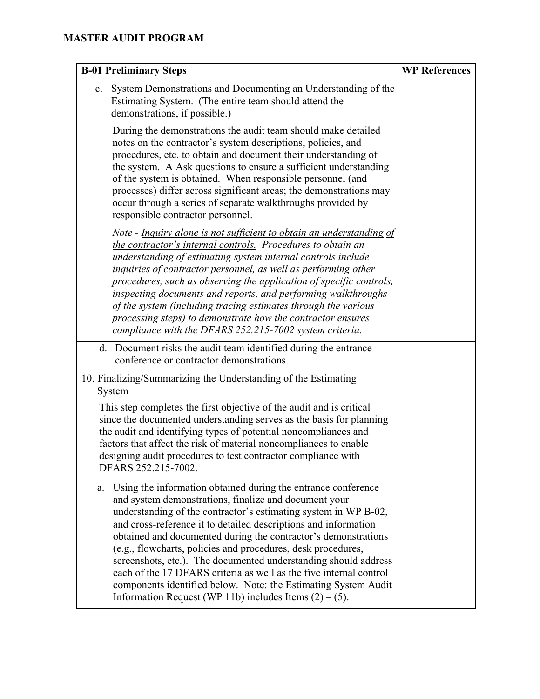| <b>B-01 Preliminary Steps</b>                                                                                                                                                                                                                                                                                                                                                                                                                                                                                                                                                                                                                                                | <b>WP References</b> |
|------------------------------------------------------------------------------------------------------------------------------------------------------------------------------------------------------------------------------------------------------------------------------------------------------------------------------------------------------------------------------------------------------------------------------------------------------------------------------------------------------------------------------------------------------------------------------------------------------------------------------------------------------------------------------|----------------------|
| System Demonstrations and Documenting an Understanding of the<br>c.<br>Estimating System. (The entire team should attend the<br>demonstrations, if possible.)                                                                                                                                                                                                                                                                                                                                                                                                                                                                                                                |                      |
| During the demonstrations the audit team should make detailed<br>notes on the contractor's system descriptions, policies, and<br>procedures, etc. to obtain and document their understanding of<br>the system. A Ask questions to ensure a sufficient understanding<br>of the system is obtained. When responsible personnel (and<br>processes) differ across significant areas; the demonstrations may<br>occur through a series of separate walkthroughs provided by<br>responsible contractor personnel.                                                                                                                                                                  |                      |
| Note - Inquiry alone is not sufficient to obtain an understanding of<br>the contractor's internal controls. Procedures to obtain an<br>understanding of estimating system internal controls include<br>inquiries of contractor personnel, as well as performing other<br>procedures, such as observing the application of specific controls,<br>inspecting documents and reports, and performing walkthroughs<br>of the system (including tracing estimates through the various<br>processing steps) to demonstrate how the contractor ensures<br>compliance with the DFARS 252.215-7002 system criteria.                                                                    |                      |
| d. Document risks the audit team identified during the entrance<br>conference or contractor demonstrations.                                                                                                                                                                                                                                                                                                                                                                                                                                                                                                                                                                  |                      |
| 10. Finalizing/Summarizing the Understanding of the Estimating<br>System                                                                                                                                                                                                                                                                                                                                                                                                                                                                                                                                                                                                     |                      |
| This step completes the first objective of the audit and is critical<br>since the documented understanding serves as the basis for planning<br>the audit and identifying types of potential noncompliances and<br>factors that affect the risk of material noncompliances to enable<br>designing audit procedures to test contractor compliance with<br>DFARS 252.215-7002.                                                                                                                                                                                                                                                                                                  |                      |
| Using the information obtained during the entrance conference<br>a.<br>and system demonstrations, finalize and document your<br>understanding of the contractor's estimating system in WP B-02,<br>and cross-reference it to detailed descriptions and information<br>obtained and documented during the contractor's demonstrations<br>(e.g., flowcharts, policies and procedures, desk procedures,<br>screenshots, etc.). The documented understanding should address<br>each of the 17 DFARS criteria as well as the five internal control<br>components identified below. Note: the Estimating System Audit<br>Information Request (WP 11b) includes Items $(2) - (5)$ . |                      |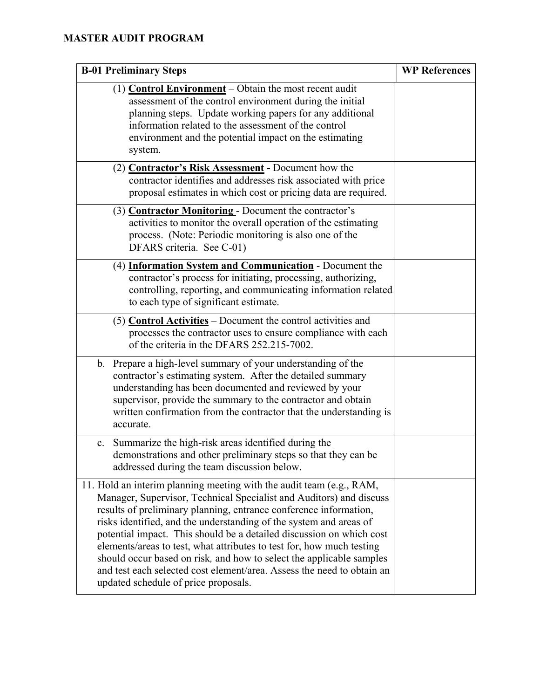| <b>B-01 Preliminary Steps</b>                                                                                                                                                                                                                                                                                                                                                                                                                                                                                                                                                                                                     | <b>WP References</b> |
|-----------------------------------------------------------------------------------------------------------------------------------------------------------------------------------------------------------------------------------------------------------------------------------------------------------------------------------------------------------------------------------------------------------------------------------------------------------------------------------------------------------------------------------------------------------------------------------------------------------------------------------|----------------------|
| $(1)$ <b>Control Environment</b> – Obtain the most recent audit<br>assessment of the control environment during the initial<br>planning steps. Update working papers for any additional<br>information related to the assessment of the control<br>environment and the potential impact on the estimating<br>system.                                                                                                                                                                                                                                                                                                              |                      |
| (2) <b>Contractor's Risk Assessment</b> - Document how the<br>contractor identifies and addresses risk associated with price<br>proposal estimates in which cost or pricing data are required.                                                                                                                                                                                                                                                                                                                                                                                                                                    |                      |
| (3) <b>Contractor Monitoring</b> - Document the contractor's<br>activities to monitor the overall operation of the estimating<br>process. (Note: Periodic monitoring is also one of the<br>DFARS criteria. See C-01)                                                                                                                                                                                                                                                                                                                                                                                                              |                      |
| (4) Information System and Communication - Document the<br>contractor's process for initiating, processing, authorizing,<br>controlling, reporting, and communicating information related<br>to each type of significant estimate.                                                                                                                                                                                                                                                                                                                                                                                                |                      |
| (5) Control Activities $-$ Document the control activities and<br>processes the contractor uses to ensure compliance with each<br>of the criteria in the DFARS 252.215-7002.                                                                                                                                                                                                                                                                                                                                                                                                                                                      |                      |
| b. Prepare a high-level summary of your understanding of the<br>contractor's estimating system. After the detailed summary<br>understanding has been documented and reviewed by your<br>supervisor, provide the summary to the contractor and obtain<br>written confirmation from the contractor that the understanding is<br>accurate.                                                                                                                                                                                                                                                                                           |                      |
| c. Summarize the high-risk areas identified during the<br>demonstrations and other preliminary steps so that they can be<br>addressed during the team discussion below.                                                                                                                                                                                                                                                                                                                                                                                                                                                           |                      |
| 11. Hold an interim planning meeting with the audit team (e.g., RAM,<br>Manager, Supervisor, Technical Specialist and Auditors) and discuss<br>results of preliminary planning, entrance conference information,<br>risks identified, and the understanding of the system and areas of<br>potential impact. This should be a detailed discussion on which cost<br>elements/areas to test, what attributes to test for, how much testing<br>should occur based on risk, and how to select the applicable samples<br>and test each selected cost element/area. Assess the need to obtain an<br>updated schedule of price proposals. |                      |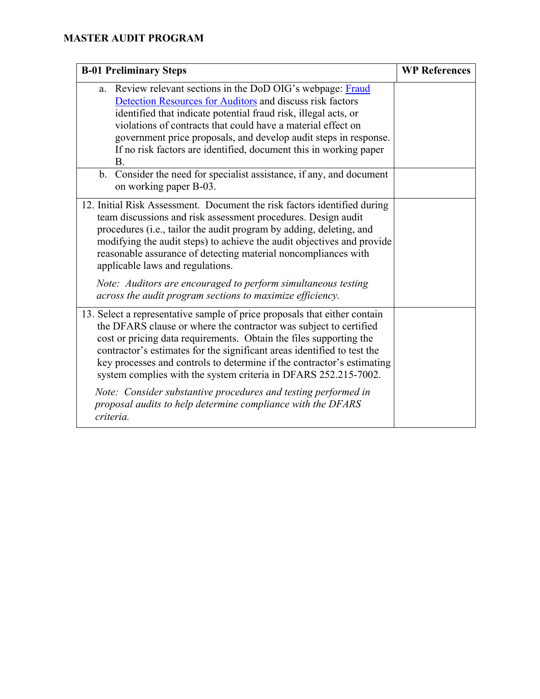| <b>B-01 Preliminary Steps</b>                                                                                                                                                                                                                                                                                                                                                                                                                                                                                                  | <b>WP References</b> |
|--------------------------------------------------------------------------------------------------------------------------------------------------------------------------------------------------------------------------------------------------------------------------------------------------------------------------------------------------------------------------------------------------------------------------------------------------------------------------------------------------------------------------------|----------------------|
| a. Review relevant sections in the DoD OIG's webpage: Fraud<br>Detection Resources for Auditors and discuss risk factors<br>identified that indicate potential fraud risk, illegal acts, or<br>violations of contracts that could have a material effect on<br>government price proposals, and develop audit steps in response.<br>If no risk factors are identified, document this in working paper<br>Β.                                                                                                                     |                      |
| b. Consider the need for specialist assistance, if any, and document<br>on working paper B-03.                                                                                                                                                                                                                                                                                                                                                                                                                                 |                      |
| 12. Initial Risk Assessment. Document the risk factors identified during<br>team discussions and risk assessment procedures. Design audit<br>procedures (i.e., tailor the audit program by adding, deleting, and<br>modifying the audit steps) to achieve the audit objectives and provide<br>reasonable assurance of detecting material noncompliances with<br>applicable laws and regulations.<br>Note: Auditors are encouraged to perform simultaneous testing<br>across the audit program sections to maximize efficiency. |                      |
| 13. Select a representative sample of price proposals that either contain<br>the DFARS clause or where the contractor was subject to certified<br>cost or pricing data requirements. Obtain the files supporting the<br>contractor's estimates for the significant areas identified to test the<br>key processes and controls to determine if the contractor's estimating<br>system complies with the system criteria in DFARS 252.215-7002.                                                                                   |                      |
| Note: Consider substantive procedures and testing performed in<br>proposal audits to help determine compliance with the DFARS<br>criteria.                                                                                                                                                                                                                                                                                                                                                                                     |                      |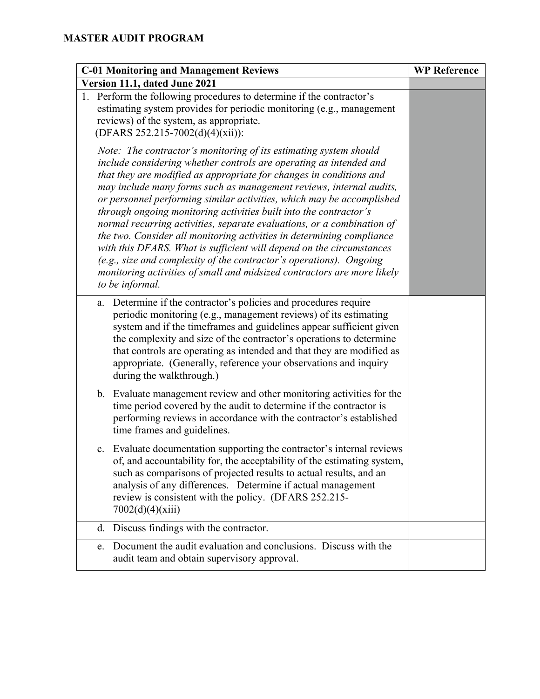| <b>C-01 Monitoring and Management Reviews</b>                                                                                                                                                                                                                                                                                                                                                                                                                                                                                                                                                                                                                                                                                                                                                                                       | <b>WP Reference</b> |
|-------------------------------------------------------------------------------------------------------------------------------------------------------------------------------------------------------------------------------------------------------------------------------------------------------------------------------------------------------------------------------------------------------------------------------------------------------------------------------------------------------------------------------------------------------------------------------------------------------------------------------------------------------------------------------------------------------------------------------------------------------------------------------------------------------------------------------------|---------------------|
| Version 11.1, dated June 2021                                                                                                                                                                                                                                                                                                                                                                                                                                                                                                                                                                                                                                                                                                                                                                                                       |                     |
| 1. Perform the following procedures to determine if the contractor's<br>estimating system provides for periodic monitoring (e.g., management<br>reviews) of the system, as appropriate.<br>(DFARS 252.215-7002(d)(4)(xii)):                                                                                                                                                                                                                                                                                                                                                                                                                                                                                                                                                                                                         |                     |
| Note: The contractor's monitoring of its estimating system should<br>include considering whether controls are operating as intended and<br>that they are modified as appropriate for changes in conditions and<br>may include many forms such as management reviews, internal audits,<br>or personnel performing similar activities, which may be accomplished<br>through ongoing monitoring activities built into the contractor's<br>normal recurring activities, separate evaluations, or a combination of<br>the two. Consider all monitoring activities in determining compliance<br>with this DFARS. What is sufficient will depend on the circumstances<br>(e.g., size and complexity of the contractor's operations). Ongoing<br>monitoring activities of small and midsized contractors are more likely<br>to be informal. |                     |
| Determine if the contractor's policies and procedures require<br>a.<br>periodic monitoring (e.g., management reviews) of its estimating<br>system and if the timeframes and guidelines appear sufficient given<br>the complexity and size of the contractor's operations to determine<br>that controls are operating as intended and that they are modified as<br>appropriate. (Generally, reference your observations and inquiry<br>during the walkthrough.)                                                                                                                                                                                                                                                                                                                                                                      |                     |
| b. Evaluate management review and other monitoring activities for the<br>time period covered by the audit to determine if the contractor is<br>performing reviews in accordance with the contractor's established<br>time frames and guidelines.                                                                                                                                                                                                                                                                                                                                                                                                                                                                                                                                                                                    |                     |
| Evaluate documentation supporting the contractor's internal reviews<br>c.<br>of, and accountability for, the acceptability of the estimating system,<br>such as comparisons of projected results to actual results, and an<br>analysis of any differences. Determine if actual management<br>review is consistent with the policy. (DFARS 252.215-<br>7002(d)(4)(xiii)                                                                                                                                                                                                                                                                                                                                                                                                                                                              |                     |
| d. Discuss findings with the contractor.                                                                                                                                                                                                                                                                                                                                                                                                                                                                                                                                                                                                                                                                                                                                                                                            |                     |
| Document the audit evaluation and conclusions. Discuss with the<br>e.<br>audit team and obtain supervisory approval.                                                                                                                                                                                                                                                                                                                                                                                                                                                                                                                                                                                                                                                                                                                |                     |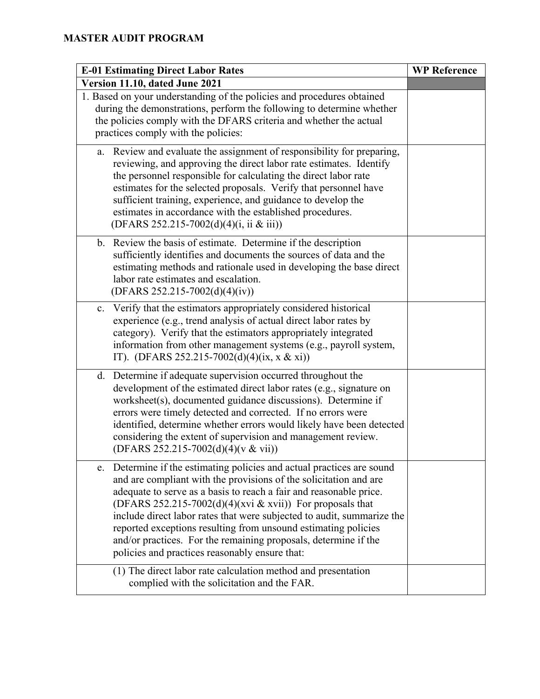| <b>E-01 Estimating Direct Labor Rates</b>                                                                                                                                                                                                                                                                                                                                                                                                                                                                                                          | <b>WP Reference</b> |
|----------------------------------------------------------------------------------------------------------------------------------------------------------------------------------------------------------------------------------------------------------------------------------------------------------------------------------------------------------------------------------------------------------------------------------------------------------------------------------------------------------------------------------------------------|---------------------|
| Version 11.10, dated June 2021                                                                                                                                                                                                                                                                                                                                                                                                                                                                                                                     |                     |
| 1. Based on your understanding of the policies and procedures obtained<br>during the demonstrations, perform the following to determine whether<br>the policies comply with the DFARS criteria and whether the actual<br>practices comply with the policies:                                                                                                                                                                                                                                                                                       |                     |
| a. Review and evaluate the assignment of responsibility for preparing,<br>reviewing, and approving the direct labor rate estimates. Identify<br>the personnel responsible for calculating the direct labor rate<br>estimates for the selected proposals. Verify that personnel have<br>sufficient training, experience, and guidance to develop the<br>estimates in accordance with the established procedures.<br>(DFARS 252.215-7002(d)(4)(i, ii & iii))                                                                                         |                     |
| b. Review the basis of estimate. Determine if the description<br>sufficiently identifies and documents the sources of data and the<br>estimating methods and rationale used in developing the base direct<br>labor rate estimates and escalation.<br>$(DFARS 252.215-7002(d)(4)(iv))$                                                                                                                                                                                                                                                              |                     |
| Verify that the estimators appropriately considered historical<br>c.<br>experience (e.g., trend analysis of actual direct labor rates by<br>category). Verify that the estimators appropriately integrated<br>information from other management systems (e.g., payroll system,<br>IT). (DFARS 252.215-7002(d)(4)(ix, x & xi))                                                                                                                                                                                                                      |                     |
| Determine if adequate supervision occurred throughout the<br>$d_{\cdot}$<br>development of the estimated direct labor rates (e.g., signature on<br>worksheet(s), documented guidance discussions). Determine if<br>errors were timely detected and corrected. If no errors were<br>identified, determine whether errors would likely have been detected<br>considering the extent of supervision and management review.<br>(DFARS 252.215-7002(d)(4)(v & vii))                                                                                     |                     |
| Determine if the estimating policies and actual practices are sound<br>e.<br>and are compliant with the provisions of the solicitation and are<br>adequate to serve as a basis to reach a fair and reasonable price.<br>(DFARS 252.215-7002(d)(4)(xvi & xvii)) For proposals that<br>include direct labor rates that were subjected to audit, summarize the<br>reported exceptions resulting from unsound estimating policies<br>and/or practices. For the remaining proposals, determine if the<br>policies and practices reasonably ensure that: |                     |
| (1) The direct labor rate calculation method and presentation<br>complied with the solicitation and the FAR.                                                                                                                                                                                                                                                                                                                                                                                                                                       |                     |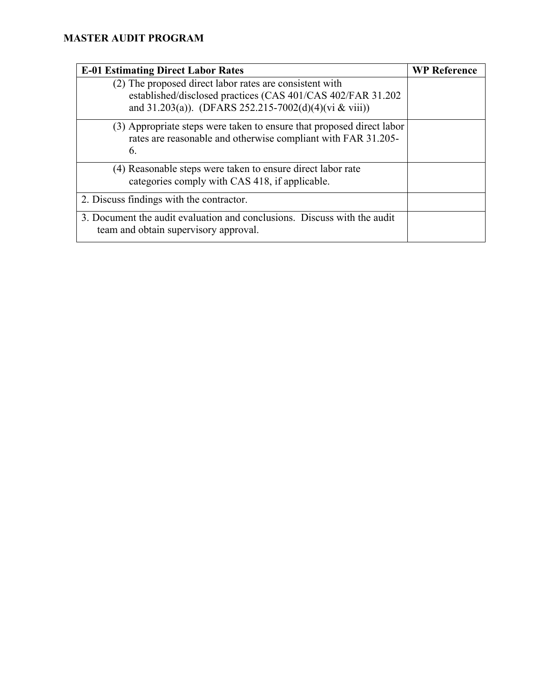| <b>E-01 Estimating Direct Labor Rates</b>                                                                                                    | <b>WP Reference</b> |
|----------------------------------------------------------------------------------------------------------------------------------------------|---------------------|
| (2) The proposed direct labor rates are consistent with<br>established/disclosed practices (CAS 401/CAS 402/FAR 31.202)                      |                     |
| and 31.203(a)). (DFARS 252.215-7002(d)(4)(vi & viii))                                                                                        |                     |
| (3) Appropriate steps were taken to ensure that proposed direct labor<br>rates are reasonable and otherwise compliant with FAR 31.205-<br>6. |                     |
| (4) Reasonable steps were taken to ensure direct labor rate<br>categories comply with CAS 418, if applicable.                                |                     |
| 2. Discuss findings with the contractor.                                                                                                     |                     |
| 3. Document the audit evaluation and conclusions. Discuss with the audit<br>team and obtain supervisory approval.                            |                     |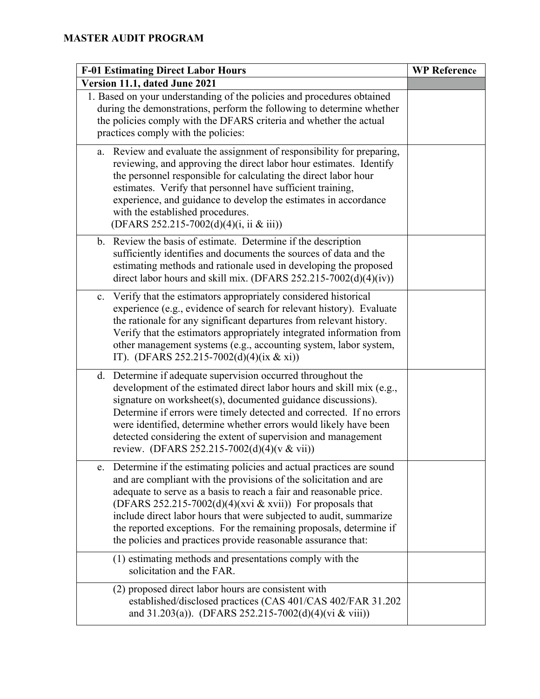| <b>F-01 Estimating Direct Labor Hours</b>                                                                                                                                                                                                                                                                                                                                                                                                                                                      | <b>WP Reference</b> |
|------------------------------------------------------------------------------------------------------------------------------------------------------------------------------------------------------------------------------------------------------------------------------------------------------------------------------------------------------------------------------------------------------------------------------------------------------------------------------------------------|---------------------|
| Version 11.1, dated June 2021                                                                                                                                                                                                                                                                                                                                                                                                                                                                  |                     |
| 1. Based on your understanding of the policies and procedures obtained<br>during the demonstrations, perform the following to determine whether<br>the policies comply with the DFARS criteria and whether the actual<br>practices comply with the policies:                                                                                                                                                                                                                                   |                     |
| Review and evaluate the assignment of responsibility for preparing,<br>a.<br>reviewing, and approving the direct labor hour estimates. Identify<br>the personnel responsible for calculating the direct labor hour<br>estimates. Verify that personnel have sufficient training,<br>experience, and guidance to develop the estimates in accordance<br>with the established procedures.<br>(DFARS 252.215-7002(d)(4)(i, ii & iii))                                                             |                     |
| b. Review the basis of estimate. Determine if the description<br>sufficiently identifies and documents the sources of data and the<br>estimating methods and rationale used in developing the proposed<br>direct labor hours and skill mix. (DFARS 252.215-7002(d)(4)(iv))                                                                                                                                                                                                                     |                     |
| Verify that the estimators appropriately considered historical<br>c.<br>experience (e.g., evidence of search for relevant history). Evaluate<br>the rationale for any significant departures from relevant history.<br>Verify that the estimators appropriately integrated information from<br>other management systems (e.g., accounting system, labor system,<br>IT). (DFARS 252.215-7002(d)(4)(ix & xi))                                                                                    |                     |
| d. Determine if adequate supervision occurred throughout the<br>development of the estimated direct labor hours and skill mix (e.g.,<br>signature on worksheet(s), documented guidance discussions).<br>Determine if errors were timely detected and corrected. If no errors<br>were identified, determine whether errors would likely have been<br>detected considering the extent of supervision and management<br>review. (DFARS 252.215-7002(d)(4)(v & vii))                               |                     |
| Determine if the estimating policies and actual practices are sound<br>e.<br>and are compliant with the provisions of the solicitation and are<br>adequate to serve as a basis to reach a fair and reasonable price.<br>(DFARS 252.215-7002(d)(4)(xvi & xvii)) For proposals that<br>include direct labor hours that were subjected to audit, summarize<br>the reported exceptions. For the remaining proposals, determine if<br>the policies and practices provide reasonable assurance that: |                     |
| (1) estimating methods and presentations comply with the<br>solicitation and the FAR.                                                                                                                                                                                                                                                                                                                                                                                                          |                     |
| (2) proposed direct labor hours are consistent with<br>established/disclosed practices (CAS 401/CAS 402/FAR 31.202<br>and 31.203(a)). (DFARS 252.215-7002(d)(4)(vi & viii))                                                                                                                                                                                                                                                                                                                    |                     |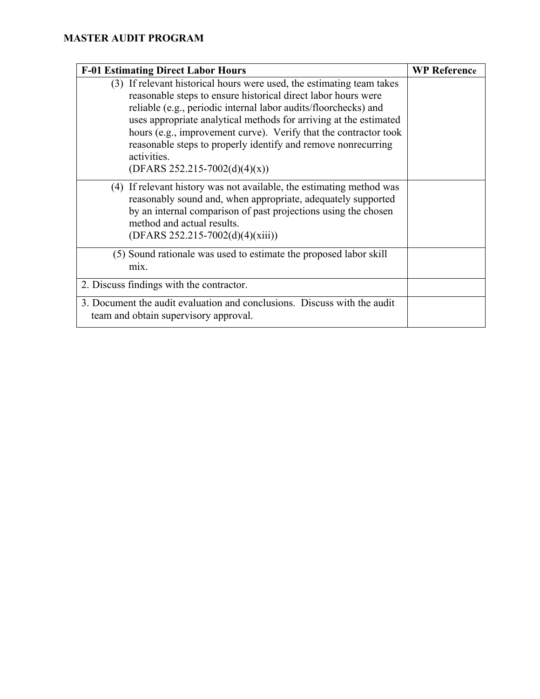| <b>F-01 Estimating Direct Labor Hours</b>                                                                                                                                                                                                                                                                                                                                                                                                                             | <b>WP Reference</b> |
|-----------------------------------------------------------------------------------------------------------------------------------------------------------------------------------------------------------------------------------------------------------------------------------------------------------------------------------------------------------------------------------------------------------------------------------------------------------------------|---------------------|
| (3) If relevant historical hours were used, the estimating team takes<br>reasonable steps to ensure historical direct labor hours were<br>reliable (e.g., periodic internal labor audits/floorchecks) and<br>uses appropriate analytical methods for arriving at the estimated<br>hours (e.g., improvement curve). Verify that the contractor took<br>reasonable steps to properly identify and remove nonrecurring<br>activities.<br>$(DFARS 252.215-7002(d)(4)(x))$ |                     |
| (4) If relevant history was not available, the estimating method was<br>reasonably sound and, when appropriate, adequately supported<br>by an internal comparison of past projections using the chosen<br>method and actual results.<br>$(DFARS 252.215-7002(d)(4)(xiii))$                                                                                                                                                                                            |                     |
| (5) Sound rationale was used to estimate the proposed labor skill<br>mix.                                                                                                                                                                                                                                                                                                                                                                                             |                     |
| 2. Discuss findings with the contractor.                                                                                                                                                                                                                                                                                                                                                                                                                              |                     |
| 3. Document the audit evaluation and conclusions. Discuss with the audit<br>team and obtain supervisory approval.                                                                                                                                                                                                                                                                                                                                                     |                     |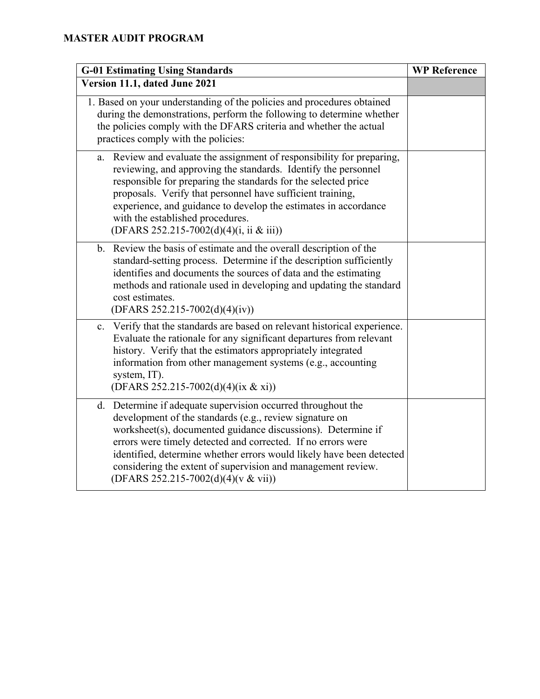| <b>G-01 Estimating Using Standards</b>                                                                                                                                                                                                                                                                                                                                                                                                 | <b>WP Reference</b> |
|----------------------------------------------------------------------------------------------------------------------------------------------------------------------------------------------------------------------------------------------------------------------------------------------------------------------------------------------------------------------------------------------------------------------------------------|---------------------|
| Version 11.1, dated June 2021                                                                                                                                                                                                                                                                                                                                                                                                          |                     |
| 1. Based on your understanding of the policies and procedures obtained<br>during the demonstrations, perform the following to determine whether<br>the policies comply with the DFARS criteria and whether the actual<br>practices comply with the policies:                                                                                                                                                                           |                     |
| a. Review and evaluate the assignment of responsibility for preparing,<br>reviewing, and approving the standards. Identify the personnel<br>responsible for preparing the standards for the selected price<br>proposals. Verify that personnel have sufficient training,<br>experience, and guidance to develop the estimates in accordance<br>with the established procedures.<br>(DFARS 252.215-7002(d)(4)(i, ii & iii))             |                     |
| b. Review the basis of estimate and the overall description of the<br>standard-setting process. Determine if the description sufficiently<br>identifies and documents the sources of data and the estimating<br>methods and rationale used in developing and updating the standard<br>cost estimates.<br>$(DFARS 252.215-7002(d)(4)(iv))$                                                                                              |                     |
| c. Verify that the standards are based on relevant historical experience.<br>Evaluate the rationale for any significant departures from relevant<br>history. Verify that the estimators appropriately integrated<br>information from other management systems (e.g., accounting<br>system, IT).<br>(DFARS 252.215-7002(d)(4)(ix & xi))                                                                                                 |                     |
| d. Determine if adequate supervision occurred throughout the<br>development of the standards (e.g., review signature on<br>worksheet(s), documented guidance discussions). Determine if<br>errors were timely detected and corrected. If no errors were<br>identified, determine whether errors would likely have been detected<br>considering the extent of supervision and management review.<br>(DFARS 252.215-7002(d)(4)(v & vii)) |                     |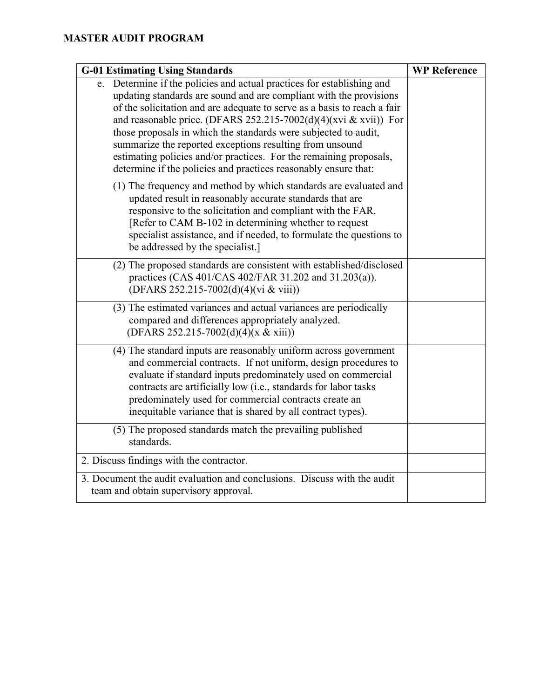| <b>G-01 Estimating Using Standards</b>                                                                                                                                                                                                                                                                                                                                                                                                                                                                                                                               | <b>WP Reference</b> |
|----------------------------------------------------------------------------------------------------------------------------------------------------------------------------------------------------------------------------------------------------------------------------------------------------------------------------------------------------------------------------------------------------------------------------------------------------------------------------------------------------------------------------------------------------------------------|---------------------|
| e. Determine if the policies and actual practices for establishing and<br>updating standards are sound and are compliant with the provisions<br>of the solicitation and are adequate to serve as a basis to reach a fair<br>and reasonable price. (DFARS 252.215-7002(d)(4)(xvi & xvii)) For<br>those proposals in which the standards were subjected to audit,<br>summarize the reported exceptions resulting from unsound<br>estimating policies and/or practices. For the remaining proposals,<br>determine if the policies and practices reasonably ensure that: |                     |
| (1) The frequency and method by which standards are evaluated and<br>updated result in reasonably accurate standards that are<br>responsive to the solicitation and compliant with the FAR.<br>[Refer to CAM B-102 in determining whether to request<br>specialist assistance, and if needed, to formulate the questions to<br>be addressed by the specialist.]                                                                                                                                                                                                      |                     |
| (2) The proposed standards are consistent with established/disclosed<br>practices (CAS 401/CAS 402/FAR 31.202 and 31.203(a)).<br>(DFARS 252.215-7002(d)(4)(vi & viii))                                                                                                                                                                                                                                                                                                                                                                                               |                     |
| (3) The estimated variances and actual variances are periodically<br>compared and differences appropriately analyzed.<br>(DFARS 252.215-7002(d)(4)(x & xiii))                                                                                                                                                                                                                                                                                                                                                                                                        |                     |
| (4) The standard inputs are reasonably uniform across government<br>and commercial contracts. If not uniform, design procedures to<br>evaluate if standard inputs predominately used on commercial<br>contracts are artificially low (i.e., standards for labor tasks<br>predominately used for commercial contracts create an<br>inequitable variance that is shared by all contract types).                                                                                                                                                                        |                     |
| (5) The proposed standards match the prevailing published<br>standards.                                                                                                                                                                                                                                                                                                                                                                                                                                                                                              |                     |
| 2. Discuss findings with the contractor.                                                                                                                                                                                                                                                                                                                                                                                                                                                                                                                             |                     |
| 3. Document the audit evaluation and conclusions. Discuss with the audit<br>team and obtain supervisory approval.                                                                                                                                                                                                                                                                                                                                                                                                                                                    |                     |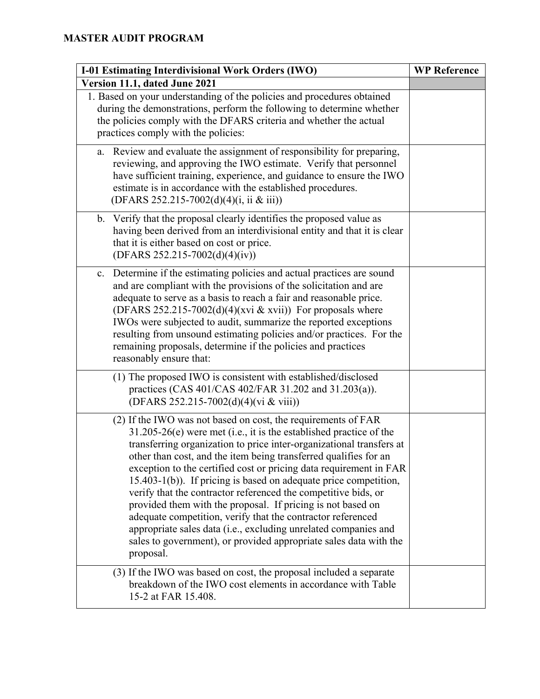| I-01 Estimating Interdivisional Work Orders (IWO)                                                                                                                                                                                                                                                                                                                                                                                                                                                                                                                                                                                                                                                                                                                                | <b>WP Reference</b> |
|----------------------------------------------------------------------------------------------------------------------------------------------------------------------------------------------------------------------------------------------------------------------------------------------------------------------------------------------------------------------------------------------------------------------------------------------------------------------------------------------------------------------------------------------------------------------------------------------------------------------------------------------------------------------------------------------------------------------------------------------------------------------------------|---------------------|
| Version 11.1, dated June 2021                                                                                                                                                                                                                                                                                                                                                                                                                                                                                                                                                                                                                                                                                                                                                    |                     |
| 1. Based on your understanding of the policies and procedures obtained<br>during the demonstrations, perform the following to determine whether<br>the policies comply with the DFARS criteria and whether the actual<br>practices comply with the policies:                                                                                                                                                                                                                                                                                                                                                                                                                                                                                                                     |                     |
| a. Review and evaluate the assignment of responsibility for preparing,<br>reviewing, and approving the IWO estimate. Verify that personnel<br>have sufficient training, experience, and guidance to ensure the IWO<br>estimate is in accordance with the established procedures.<br>(DFARS 252.215-7002(d)(4)(i, ii & iii))                                                                                                                                                                                                                                                                                                                                                                                                                                                      |                     |
| Verify that the proposal clearly identifies the proposed value as<br>$\mathbf{b}$ .<br>having been derived from an interdivisional entity and that it is clear<br>that it is either based on cost or price.<br>$(DFARS 252.215-7002(d)(4)(iv))$                                                                                                                                                                                                                                                                                                                                                                                                                                                                                                                                  |                     |
| Determine if the estimating policies and actual practices are sound<br>c.<br>and are compliant with the provisions of the solicitation and are<br>adequate to serve as a basis to reach a fair and reasonable price.<br>(DFARS 252.215-7002(d)(4)(xvi & xvii)) For proposals where<br>IWOs were subjected to audit, summarize the reported exceptions<br>resulting from unsound estimating policies and/or practices. For the<br>remaining proposals, determine if the policies and practices<br>reasonably ensure that:                                                                                                                                                                                                                                                         |                     |
| (1) The proposed IWO is consistent with established/disclosed<br>practices (CAS 401/CAS 402/FAR 31.202 and 31.203(a)).<br>(DFARS 252.215-7002(d)(4)(vi & viii))                                                                                                                                                                                                                                                                                                                                                                                                                                                                                                                                                                                                                  |                     |
| (2) If the IWO was not based on cost, the requirements of FAR<br>$31.205-26(e)$ were met (i.e., it is the established practice of the<br>transferring organization to price inter-organizational transfers at<br>other than cost, and the item being transferred qualifies for an<br>exception to the certified cost or pricing data requirement in FAR<br>15.403-1(b)). If pricing is based on adequate price competition,<br>verify that the contractor referenced the competitive bids, or<br>provided them with the proposal. If pricing is not based on<br>adequate competition, verify that the contractor referenced<br>appropriate sales data (i.e., excluding unrelated companies and<br>sales to government), or provided appropriate sales data with the<br>proposal. |                     |
| (3) If the IWO was based on cost, the proposal included a separate<br>breakdown of the IWO cost elements in accordance with Table<br>15-2 at FAR 15.408.                                                                                                                                                                                                                                                                                                                                                                                                                                                                                                                                                                                                                         |                     |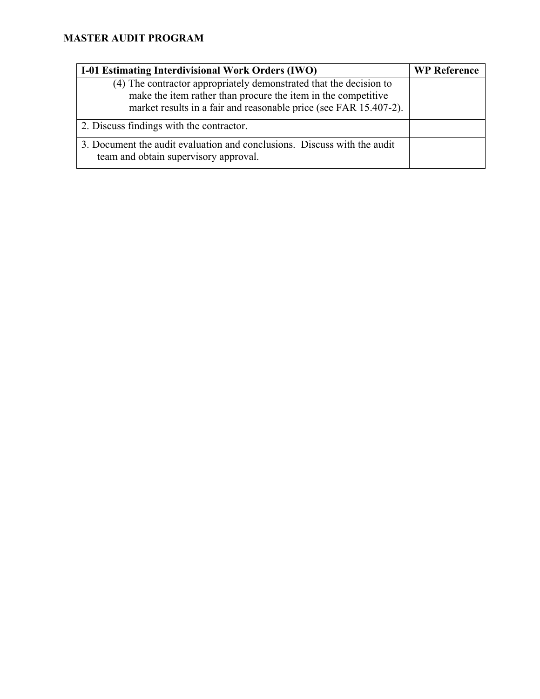| <b>I-01 Estimating Interdivisional Work Orders (IWO)</b>                                                                                                                                                 | <b>WP Reference</b> |
|----------------------------------------------------------------------------------------------------------------------------------------------------------------------------------------------------------|---------------------|
| (4) The contractor appropriately demonstrated that the decision to<br>make the item rather than procure the item in the competitive<br>market results in a fair and reasonable price (see FAR 15.407-2). |                     |
| 2. Discuss findings with the contractor.                                                                                                                                                                 |                     |
| 3. Document the audit evaluation and conclusions. Discuss with the audit<br>team and obtain supervisory approval.                                                                                        |                     |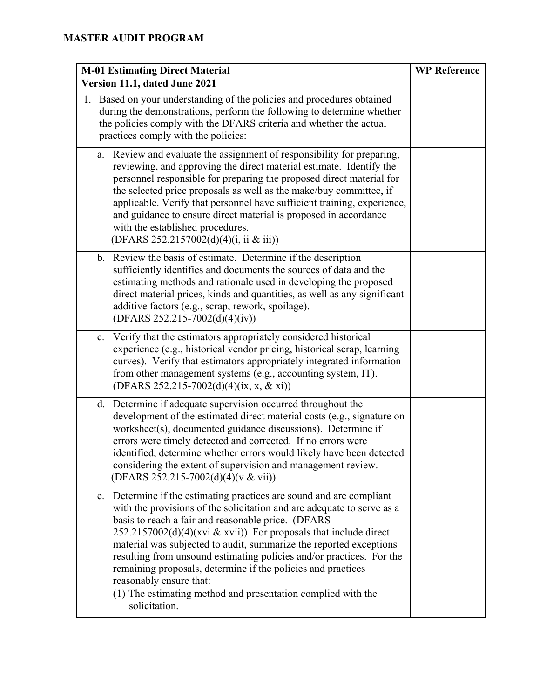| <b>M-01 Estimating Direct Material</b>                                                                                                                                                                                                                                                                                                                                                                                                                                                                                      | <b>WP Reference</b> |
|-----------------------------------------------------------------------------------------------------------------------------------------------------------------------------------------------------------------------------------------------------------------------------------------------------------------------------------------------------------------------------------------------------------------------------------------------------------------------------------------------------------------------------|---------------------|
| Version 11.1, dated June 2021                                                                                                                                                                                                                                                                                                                                                                                                                                                                                               |                     |
| Based on your understanding of the policies and procedures obtained<br>1.<br>during the demonstrations, perform the following to determine whether<br>the policies comply with the DFARS criteria and whether the actual<br>practices comply with the policies:                                                                                                                                                                                                                                                             |                     |
| Review and evaluate the assignment of responsibility for preparing,<br>a.<br>reviewing, and approving the direct material estimate. Identify the<br>personnel responsible for preparing the proposed direct material for<br>the selected price proposals as well as the make/buy committee, if<br>applicable. Verify that personnel have sufficient training, experience,<br>and guidance to ensure direct material is proposed in accordance<br>with the established procedures.<br>(DFARS 252.2157002(d)(4)(i, ii & iii)) |                     |
| Review the basis of estimate. Determine if the description<br>b.<br>sufficiently identifies and documents the sources of data and the<br>estimating methods and rationale used in developing the proposed<br>direct material prices, kinds and quantities, as well as any significant<br>additive factors (e.g., scrap, rework, spoilage).<br>$(DFARS 252.215-7002(d)(4)(iv))$                                                                                                                                              |                     |
| Verify that the estimators appropriately considered historical<br>c.<br>experience (e.g., historical vendor pricing, historical scrap, learning<br>curves). Verify that estimators appropriately integrated information<br>from other management systems (e.g., accounting system, IT).<br>(DFARS 252.215-7002(d)(4)(ix, x, & xi))                                                                                                                                                                                          |                     |
| Determine if adequate supervision occurred throughout the<br>d.<br>development of the estimated direct material costs (e.g., signature on<br>worksheet(s), documented guidance discussions). Determine if<br>errors were timely detected and corrected. If no errors were<br>identified, determine whether errors would likely have been detected<br>considering the extent of supervision and management review.<br>(DFARS 252.215-7002(d)(4)(v & vii))                                                                    |                     |
| Determine if the estimating practices are sound and are compliant<br>e.<br>with the provisions of the solicitation and are adequate to serve as a<br>basis to reach a fair and reasonable price. (DFARS<br>$252.2157002(d)(4)(xvi & xvii)$ For proposals that include direct<br>material was subjected to audit, summarize the reported exceptions<br>resulting from unsound estimating policies and/or practices. For the<br>remaining proposals, determine if the policies and practices<br>reasonably ensure that:       |                     |
| (1) The estimating method and presentation complied with the<br>solicitation.                                                                                                                                                                                                                                                                                                                                                                                                                                               |                     |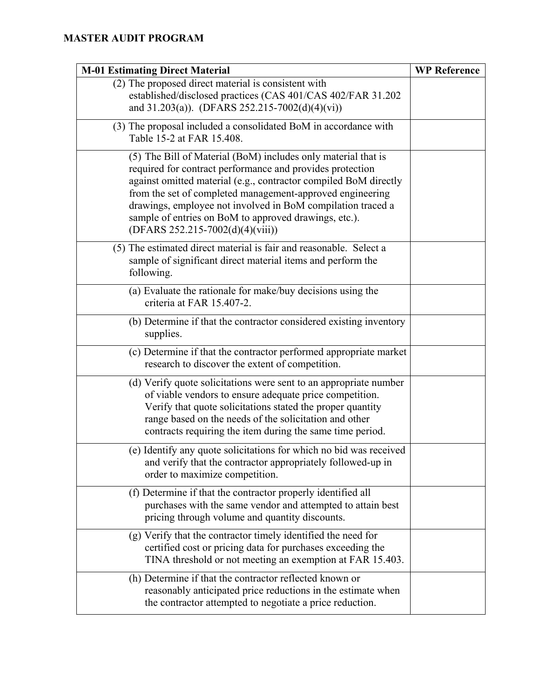| <b>M-01 Estimating Direct Material</b>                                                                                                                                                                                                                                                                                                                                                                                  | <b>WP Reference</b> |
|-------------------------------------------------------------------------------------------------------------------------------------------------------------------------------------------------------------------------------------------------------------------------------------------------------------------------------------------------------------------------------------------------------------------------|---------------------|
| (2) The proposed direct material is consistent with<br>established/disclosed practices (CAS 401/CAS 402/FAR 31.202<br>and 31.203(a)). (DFARS 252.215-7002(d)(4)(vi))                                                                                                                                                                                                                                                    |                     |
| (3) The proposal included a consolidated BoM in accordance with<br>Table 15-2 at FAR 15.408.                                                                                                                                                                                                                                                                                                                            |                     |
| (5) The Bill of Material (BoM) includes only material that is<br>required for contract performance and provides protection<br>against omitted material (e.g., contractor compiled BoM directly<br>from the set of completed management-approved engineering<br>drawings, employee not involved in BoM compilation traced a<br>sample of entries on BoM to approved drawings, etc.).<br>(DFARS 252.215-7002(d)(4)(viii)) |                     |
| (5) The estimated direct material is fair and reasonable. Select a<br>sample of significant direct material items and perform the<br>following.                                                                                                                                                                                                                                                                         |                     |
| (a) Evaluate the rationale for make/buy decisions using the<br>criteria at FAR 15.407-2.                                                                                                                                                                                                                                                                                                                                |                     |
| (b) Determine if that the contractor considered existing inventory<br>supplies.                                                                                                                                                                                                                                                                                                                                         |                     |
| (c) Determine if that the contractor performed appropriate market<br>research to discover the extent of competition.                                                                                                                                                                                                                                                                                                    |                     |
| (d) Verify quote solicitations were sent to an appropriate number<br>of viable vendors to ensure adequate price competition.<br>Verify that quote solicitations stated the proper quantity<br>range based on the needs of the solicitation and other<br>contracts requiring the item during the same time period.                                                                                                       |                     |
| (e) Identify any quote solicitations for which no bid was received<br>and verify that the contractor appropriately followed-up in<br>order to maximize competition.                                                                                                                                                                                                                                                     |                     |
| (f) Determine if that the contractor properly identified all<br>purchases with the same vendor and attempted to attain best<br>pricing through volume and quantity discounts.                                                                                                                                                                                                                                           |                     |
| (g) Verify that the contractor timely identified the need for<br>certified cost or pricing data for purchases exceeding the<br>TINA threshold or not meeting an exemption at FAR 15.403.                                                                                                                                                                                                                                |                     |
| (h) Determine if that the contractor reflected known or<br>reasonably anticipated price reductions in the estimate when<br>the contractor attempted to negotiate a price reduction.                                                                                                                                                                                                                                     |                     |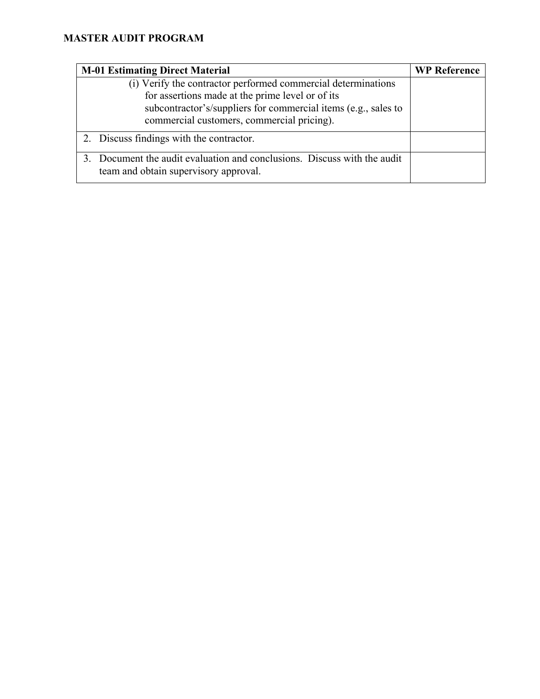| <b>M-01 Estimating Direct Material</b>                                                                                                                                                                                            | <b>WP Reference</b> |
|-----------------------------------------------------------------------------------------------------------------------------------------------------------------------------------------------------------------------------------|---------------------|
| (i) Verify the contractor performed commercial determinations<br>for assertions made at the prime level or of its<br>subcontractor's/suppliers for commercial items (e.g., sales to<br>commercial customers, commercial pricing). |                     |
| 2. Discuss findings with the contractor.                                                                                                                                                                                          |                     |
| 3. Document the audit evaluation and conclusions. Discuss with the audit<br>team and obtain supervisory approval.                                                                                                                 |                     |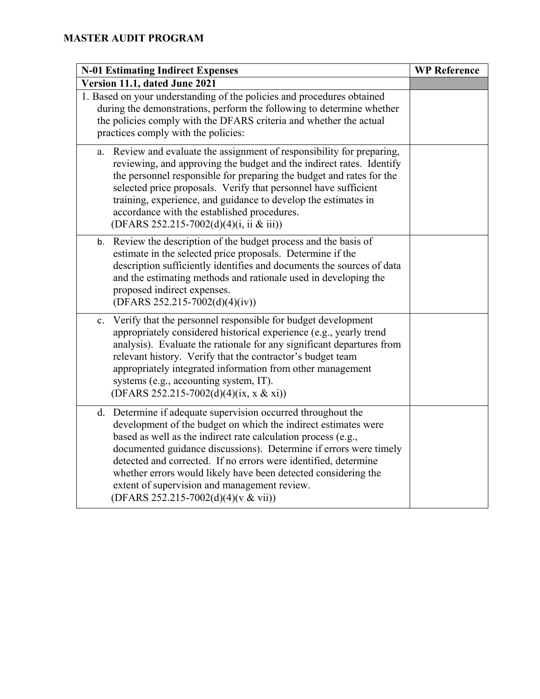| <b>N-01 Estimating Indirect Expenses</b> |                                                                                                                                                                                                                                                                                                                                                                                                                                                                                                  | <b>WP Reference</b> |
|------------------------------------------|--------------------------------------------------------------------------------------------------------------------------------------------------------------------------------------------------------------------------------------------------------------------------------------------------------------------------------------------------------------------------------------------------------------------------------------------------------------------------------------------------|---------------------|
| Version 11.1, dated June 2021            |                                                                                                                                                                                                                                                                                                                                                                                                                                                                                                  |                     |
|                                          | 1. Based on your understanding of the policies and procedures obtained<br>during the demonstrations, perform the following to determine whether<br>the policies comply with the DFARS criteria and whether the actual<br>practices comply with the policies:                                                                                                                                                                                                                                     |                     |
| a.                                       | Review and evaluate the assignment of responsibility for preparing,<br>reviewing, and approving the budget and the indirect rates. Identify<br>the personnel responsible for preparing the budget and rates for the<br>selected price proposals. Verify that personnel have sufficient<br>training, experience, and guidance to develop the estimates in<br>accordance with the established procedures.<br>(DFARS 252.215-7002(d)(4)(i, ii & iii))                                               |                     |
| b.                                       | Review the description of the budget process and the basis of<br>estimate in the selected price proposals. Determine if the<br>description sufficiently identifies and documents the sources of data<br>and the estimating methods and rationale used in developing the<br>proposed indirect expenses.<br>$(DFARS 252.215-7002(d)(4)(iv))$                                                                                                                                                       |                     |
| c.                                       | Verify that the personnel responsible for budget development<br>appropriately considered historical experience (e.g., yearly trend<br>analysis). Evaluate the rationale for any significant departures from<br>relevant history. Verify that the contractor's budget team<br>appropriately integrated information from other management<br>systems (e.g., accounting system, IT).<br>(DFARS 252.215-7002(d)(4)(ix, x & xi))                                                                      |                     |
|                                          | d. Determine if adequate supervision occurred throughout the<br>development of the budget on which the indirect estimates were<br>based as well as the indirect rate calculation process (e.g.,<br>documented guidance discussions). Determine if errors were timely<br>detected and corrected. If no errors were identified, determine<br>whether errors would likely have been detected considering the<br>extent of supervision and management review.<br>(DFARS 252.215-7002(d)(4)(v & vii)) |                     |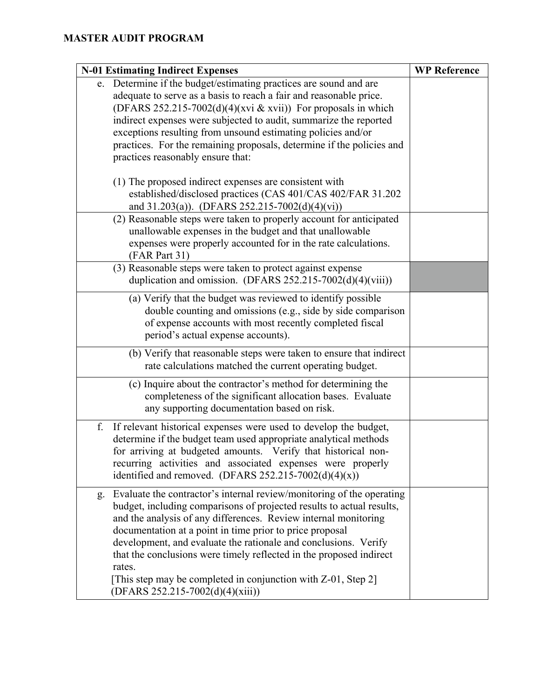| <b>N-01 Estimating Indirect Expenses</b>                                                                                                                                                                                                                                                                                                                                                                                                                                                                                                          | <b>WP Reference</b> |
|---------------------------------------------------------------------------------------------------------------------------------------------------------------------------------------------------------------------------------------------------------------------------------------------------------------------------------------------------------------------------------------------------------------------------------------------------------------------------------------------------------------------------------------------------|---------------------|
| e. Determine if the budget/estimating practices are sound and are<br>adequate to serve as a basis to reach a fair and reasonable price.<br>(DFARS 252.215-7002(d)(4)(xvi & xvii)) For proposals in which<br>indirect expenses were subjected to audit, summarize the reported<br>exceptions resulting from unsound estimating policies and/or<br>practices. For the remaining proposals, determine if the policies and<br>practices reasonably ensure that:<br>(1) The proposed indirect expenses are consistent with                             |                     |
| established/disclosed practices (CAS 401/CAS 402/FAR 31.202<br>and 31.203(a)). (DFARS 252.215-7002(d)(4)(vi))                                                                                                                                                                                                                                                                                                                                                                                                                                     |                     |
| (2) Reasonable steps were taken to properly account for anticipated<br>unallowable expenses in the budget and that unallowable<br>expenses were properly accounted for in the rate calculations.<br>(FAR Part 31)                                                                                                                                                                                                                                                                                                                                 |                     |
| (3) Reasonable steps were taken to protect against expense<br>duplication and omission. (DFARS $252.215-7002(d)(4)(viii)$ )                                                                                                                                                                                                                                                                                                                                                                                                                       |                     |
| (a) Verify that the budget was reviewed to identify possible<br>double counting and omissions (e.g., side by side comparison<br>of expense accounts with most recently completed fiscal<br>period's actual expense accounts).                                                                                                                                                                                                                                                                                                                     |                     |
| (b) Verify that reasonable steps were taken to ensure that indirect<br>rate calculations matched the current operating budget.                                                                                                                                                                                                                                                                                                                                                                                                                    |                     |
| (c) Inquire about the contractor's method for determining the<br>completeness of the significant allocation bases. Evaluate<br>any supporting documentation based on risk.                                                                                                                                                                                                                                                                                                                                                                        |                     |
| f.<br>If relevant historical expenses were used to develop the budget,<br>determine if the budget team used appropriate analytical methods<br>for arriving at budgeted amounts. Verify that historical non-<br>recurring activities and associated expenses were properly<br>identified and removed. (DFARS 252.215-7002(d)(4)(x))                                                                                                                                                                                                                |                     |
| Evaluate the contractor's internal review/monitoring of the operating<br>g.<br>budget, including comparisons of projected results to actual results,<br>and the analysis of any differences. Review internal monitoring<br>documentation at a point in time prior to price proposal<br>development, and evaluate the rationale and conclusions. Verify<br>that the conclusions were timely reflected in the proposed indirect<br>rates.<br>[This step may be completed in conjunction with $Z-01$ , Step 2]<br>$(DFARS 252.215-7002(d)(4)(xiii))$ |                     |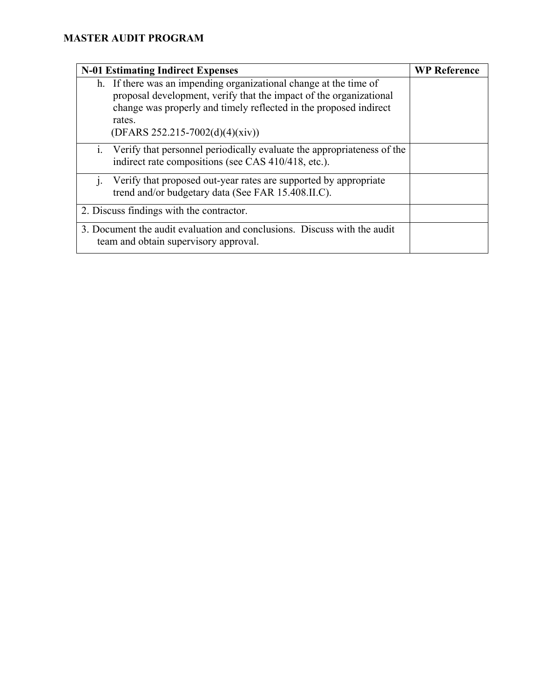| <b>N-01 Estimating Indirect Expenses</b>                                                                                                                                                                                                                    | <b>WP Reference</b> |
|-------------------------------------------------------------------------------------------------------------------------------------------------------------------------------------------------------------------------------------------------------------|---------------------|
| h. If there was an impending organizational change at the time of<br>proposal development, verify that the impact of the organizational<br>change was properly and timely reflected in the proposed indirect<br>rates.<br>$(DFARS 252.215-7002(d)(4)(xiv))$ |                     |
| i. Verify that personnel periodically evaluate the appropriateness of the<br>indirect rate compositions (see CAS 410/418, etc.).                                                                                                                            |                     |
| Verify that proposed out-year rates are supported by appropriate<br>trend and/or budgetary data (See FAR 15.408.II.C).                                                                                                                                      |                     |
| 2. Discuss findings with the contractor.                                                                                                                                                                                                                    |                     |
| 3. Document the audit evaluation and conclusions. Discuss with the audit<br>team and obtain supervisory approval.                                                                                                                                           |                     |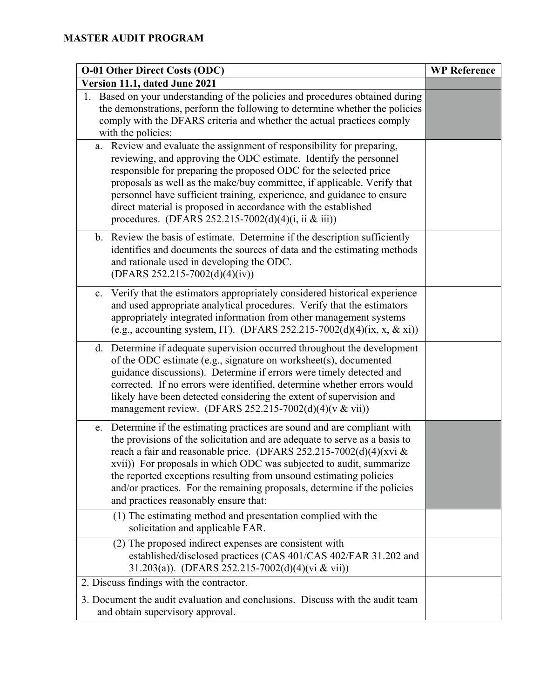| <b>O-01 Other Direct Costs (ODC)</b>                                                                                                                                                                                                                                                                                                                                                                                                                                                            | <b>WP Reference</b> |
|-------------------------------------------------------------------------------------------------------------------------------------------------------------------------------------------------------------------------------------------------------------------------------------------------------------------------------------------------------------------------------------------------------------------------------------------------------------------------------------------------|---------------------|
| Version 11.1, dated June 2021                                                                                                                                                                                                                                                                                                                                                                                                                                                                   |                     |
| 1. Based on your understanding of the policies and procedures obtained during<br>the demonstrations, perform the following to determine whether the policies<br>comply with the DFARS criteria and whether the actual practices comply<br>with the policies:                                                                                                                                                                                                                                    |                     |
| a. Review and evaluate the assignment of responsibility for preparing,<br>reviewing, and approving the ODC estimate. Identify the personnel<br>responsible for preparing the proposed ODC for the selected price<br>proposals as well as the make/buy committee, if applicable. Verify that<br>personnel have sufficient training, experience, and guidance to ensure<br>direct material is proposed in accordance with the established<br>procedures. (DFARS 252.215-7002(d)(4)(i, ii & iii))  |                     |
| b. Review the basis of estimate. Determine if the description sufficiently<br>identifies and documents the sources of data and the estimating methods<br>and rationale used in developing the ODC.<br>(DFARS 252.215-7002(d)(4)(iv))                                                                                                                                                                                                                                                            |                     |
| Verify that the estimators appropriately considered historical experience<br>c.<br>and used appropriate analytical procedures. Verify that the estimators<br>appropriately integrated information from other management systems<br>(e.g., accounting system, IT). (DFARS 252.215-7002(d)(4)(ix, x, & xi))                                                                                                                                                                                       |                     |
| d. Determine if adequate supervision occurred throughout the development<br>of the ODC estimate (e.g., signature on worksheet(s), documented<br>guidance discussions). Determine if errors were timely detected and<br>corrected. If no errors were identified, determine whether errors would<br>likely have been detected considering the extent of supervision and<br>management review. (DFARS 252.215-7002(d)(4)( $v \& vii$ ))                                                            |                     |
| e. Determine if the estimating practices are sound and are compliant with<br>the provisions of the solicitation and are adequate to serve as a basis to<br>reach a fair and reasonable price. (DFARS 252.215-7002(d)(4)(xvi &<br>xvii)) For proposals in which ODC was subjected to audit, summarize<br>the reported exceptions resulting from unsound estimating policies<br>and/or practices. For the remaining proposals, determine if the policies<br>and practices reasonably ensure that: |                     |
| (1) The estimating method and presentation complied with the<br>solicitation and applicable FAR.                                                                                                                                                                                                                                                                                                                                                                                                |                     |
| (2) The proposed indirect expenses are consistent with<br>established/disclosed practices (CAS 401/CAS 402/FAR 31.202 and<br>31.203(a)). (DFARS 252.215-7002(d)(4)(vi & vii))                                                                                                                                                                                                                                                                                                                   |                     |
| 2. Discuss findings with the contractor.                                                                                                                                                                                                                                                                                                                                                                                                                                                        |                     |
| 3. Document the audit evaluation and conclusions. Discuss with the audit team<br>and obtain supervisory approval.                                                                                                                                                                                                                                                                                                                                                                               |                     |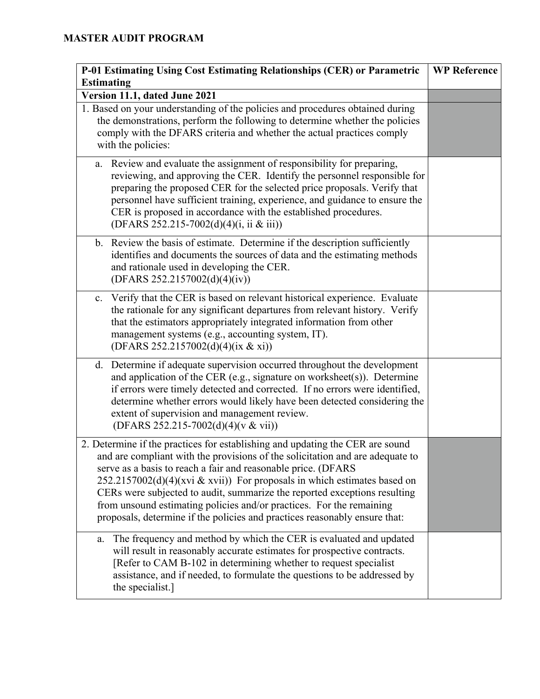| P-01 Estimating Using Cost Estimating Relationships (CER) or Parametric                                                                                                                                                                                                                                                                                                                                                                                                                                                                         | <b>WP Reference</b> |
|-------------------------------------------------------------------------------------------------------------------------------------------------------------------------------------------------------------------------------------------------------------------------------------------------------------------------------------------------------------------------------------------------------------------------------------------------------------------------------------------------------------------------------------------------|---------------------|
| <b>Estimating</b>                                                                                                                                                                                                                                                                                                                                                                                                                                                                                                                               |                     |
| Version 11.1, dated June 2021                                                                                                                                                                                                                                                                                                                                                                                                                                                                                                                   |                     |
| 1. Based on your understanding of the policies and procedures obtained during<br>the demonstrations, perform the following to determine whether the policies<br>comply with the DFARS criteria and whether the actual practices comply<br>with the policies:                                                                                                                                                                                                                                                                                    |                     |
| Review and evaluate the assignment of responsibility for preparing,<br>a.<br>reviewing, and approving the CER. Identify the personnel responsible for<br>preparing the proposed CER for the selected price proposals. Verify that<br>personnel have sufficient training, experience, and guidance to ensure the<br>CER is proposed in accordance with the established procedures.<br>(DFARS 252.215-7002(d)(4)(i, ii & iii))                                                                                                                    |                     |
| b. Review the basis of estimate. Determine if the description sufficiently<br>identifies and documents the sources of data and the estimating methods<br>and rationale used in developing the CER.<br>(DFARS 252.2157002(d)(4)(iv))                                                                                                                                                                                                                                                                                                             |                     |
| Verify that the CER is based on relevant historical experience. Evaluate<br>c.<br>the rationale for any significant departures from relevant history. Verify<br>that the estimators appropriately integrated information from other<br>management systems (e.g., accounting system, IT).<br>(DFARS 252.2157002(d)(4)(ix & xi))                                                                                                                                                                                                                  |                     |
| Determine if adequate supervision occurred throughout the development<br>d.<br>and application of the CER (e.g., signature on worksheet(s)). Determine<br>if errors were timely detected and corrected. If no errors were identified,<br>determine whether errors would likely have been detected considering the<br>extent of supervision and management review.<br>(DFARS 252.215-7002(d)(4)(v & vii))                                                                                                                                        |                     |
| 2. Determine if the practices for establishing and updating the CER are sound<br>and are compliant with the provisions of the solicitation and are adequate to<br>serve as a basis to reach a fair and reasonable price. (DFARS<br>$252.2157002(d)(4)(xvi & xvii)$ For proposals in which estimates based on<br>CERs were subjected to audit, summarize the reported exceptions resulting<br>from unsound estimating policies and/or practices. For the remaining<br>proposals, determine if the policies and practices reasonably ensure that: |                     |
| The frequency and method by which the CER is evaluated and updated<br>a.<br>will result in reasonably accurate estimates for prospective contracts.<br>[Refer to CAM B-102 in determining whether to request specialist<br>assistance, and if needed, to formulate the questions to be addressed by<br>the specialist.]                                                                                                                                                                                                                         |                     |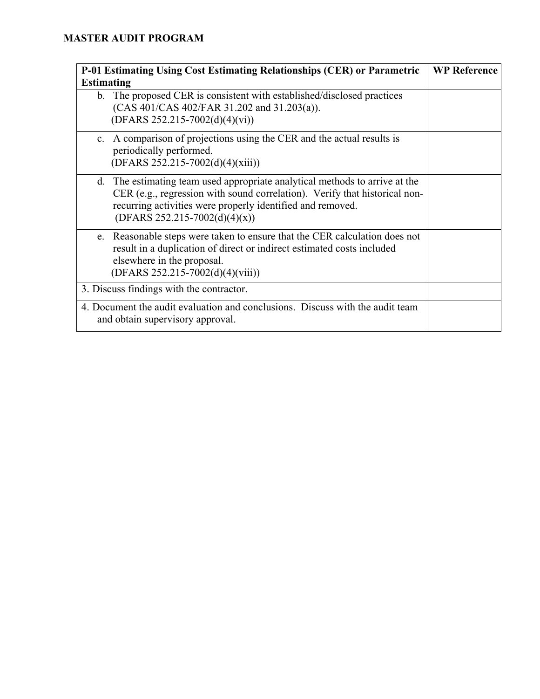| <b>P-01 Estimating Using Cost Estimating Relationships (CER) or Parametric</b>                                                                                                                                                                                | <b>WP Reference</b> |
|---------------------------------------------------------------------------------------------------------------------------------------------------------------------------------------------------------------------------------------------------------------|---------------------|
| <b>Estimating</b>                                                                                                                                                                                                                                             |                     |
| The proposed CER is consistent with established/disclosed practices<br>b.<br>$(CAS 401/CAS 402/FAR 31.202$ and $31.203(a)$ ).<br>$(DFARS 252.215-7002(d)(4)(vi))$                                                                                             |                     |
| c. A comparison of projections using the CER and the actual results is<br>periodically performed.<br>$(DFARS 252.215-7002(d)(4)(xiii))$                                                                                                                       |                     |
| The estimating team used appropriate analytical methods to arrive at the<br>d.<br>CER (e.g., regression with sound correlation). Verify that historical non-<br>recurring activities were properly identified and removed.<br>$(DFARS 252.215-7002(d)(4)(x))$ |                     |
| Reasonable steps were taken to ensure that the CER calculation does not<br>e.<br>result in a duplication of direct or indirect estimated costs included<br>elsewhere in the proposal.<br>$(DFARS 252.215-7002(d)(4)(viii))$                                   |                     |
| 3. Discuss findings with the contractor.                                                                                                                                                                                                                      |                     |
| 4. Document the audit evaluation and conclusions. Discuss with the audit team<br>and obtain supervisory approval.                                                                                                                                             |                     |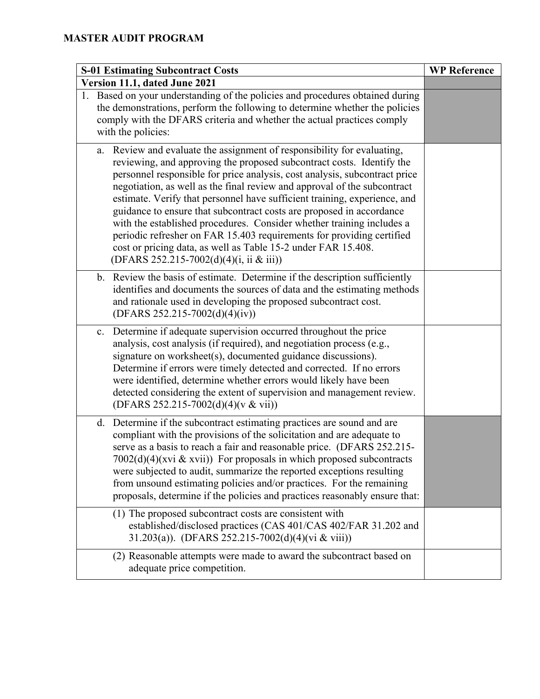| <b>S-01 Estimating Subcontract Costs</b>                                                                                                                                                                                                                                                                                                                                                                                                                                                                                                                                                                                                                                                                                         | <b>WP Reference</b> |
|----------------------------------------------------------------------------------------------------------------------------------------------------------------------------------------------------------------------------------------------------------------------------------------------------------------------------------------------------------------------------------------------------------------------------------------------------------------------------------------------------------------------------------------------------------------------------------------------------------------------------------------------------------------------------------------------------------------------------------|---------------------|
| Version 11.1, dated June 2021                                                                                                                                                                                                                                                                                                                                                                                                                                                                                                                                                                                                                                                                                                    |                     |
| 1. Based on your understanding of the policies and procedures obtained during<br>the demonstrations, perform the following to determine whether the policies<br>comply with the DFARS criteria and whether the actual practices comply<br>with the policies:                                                                                                                                                                                                                                                                                                                                                                                                                                                                     |                     |
| Review and evaluate the assignment of responsibility for evaluating,<br>a.<br>reviewing, and approving the proposed subcontract costs. Identify the<br>personnel responsible for price analysis, cost analysis, subcontract price<br>negotiation, as well as the final review and approval of the subcontract<br>estimate. Verify that personnel have sufficient training, experience, and<br>guidance to ensure that subcontract costs are proposed in accordance<br>with the established procedures. Consider whether training includes a<br>periodic refresher on FAR 15.403 requirements for providing certified<br>cost or pricing data, as well as Table 15-2 under FAR 15.408.<br>(DFARS 252.215-7002(d)(4)(i, ii & iii)) |                     |
| Review the basis of estimate. Determine if the description sufficiently<br>b.<br>identifies and documents the sources of data and the estimating methods<br>and rationale used in developing the proposed subcontract cost.<br>(DFARS 252.215-7002(d)(4)(iv))                                                                                                                                                                                                                                                                                                                                                                                                                                                                    |                     |
| Determine if adequate supervision occurred throughout the price<br>c.<br>analysis, cost analysis (if required), and negotiation process (e.g.,<br>signature on worksheet(s), documented guidance discussions).<br>Determine if errors were timely detected and corrected. If no errors<br>were identified, determine whether errors would likely have been<br>detected considering the extent of supervision and management review.<br>(DFARS 252.215-7002(d)(4)(v & vii))                                                                                                                                                                                                                                                       |                     |
| Determine if the subcontract estimating practices are sound and are<br>d.<br>compliant with the provisions of the solicitation and are adequate to<br>serve as a basis to reach a fair and reasonable price. (DFARS 252.215-<br>$7002(d)(4)(xvi \& xvii))$ For proposals in which proposed subcontracts<br>were subjected to audit, summarize the reported exceptions resulting<br>from unsound estimating policies and/or practices. For the remaining<br>proposals, determine if the policies and practices reasonably ensure that:                                                                                                                                                                                            |                     |
| (1) The proposed subcontract costs are consistent with<br>established/disclosed practices (CAS 401/CAS 402/FAR 31.202 and<br>31.203(a)). (DFARS 252.215-7002(d)(4)(vi & viii))                                                                                                                                                                                                                                                                                                                                                                                                                                                                                                                                                   |                     |
| (2) Reasonable attempts were made to award the subcontract based on<br>adequate price competition.                                                                                                                                                                                                                                                                                                                                                                                                                                                                                                                                                                                                                               |                     |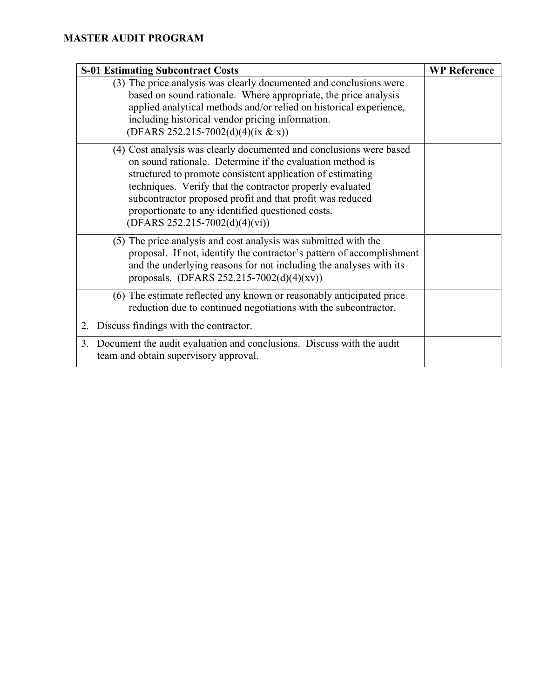| <b>S-01 Estimating Subcontract Costs</b>                                                                                                                                                                                                                                                                                                                                                                          | <b>WP Reference</b> |
|-------------------------------------------------------------------------------------------------------------------------------------------------------------------------------------------------------------------------------------------------------------------------------------------------------------------------------------------------------------------------------------------------------------------|---------------------|
| (3) The price analysis was clearly documented and conclusions were<br>based on sound rationale. Where appropriate, the price analysis<br>applied analytical methods and/or relied on historical experience,<br>including historical vendor pricing information.<br>(DFARS 252.215-7002(d)(4)(ix & x))                                                                                                             |                     |
| (4) Cost analysis was clearly documented and conclusions were based<br>on sound rationale. Determine if the evaluation method is<br>structured to promote consistent application of estimating<br>techniques. Verify that the contractor properly evaluated<br>subcontractor proposed profit and that profit was reduced<br>proportionate to any identified questioned costs.<br>$(DFARS 252.215-7002(d)(4)(vi))$ |                     |
| (5) The price analysis and cost analysis was submitted with the<br>proposal. If not, identify the contractor's pattern of accomplishment<br>and the underlying reasons for not including the analyses with its<br>proposals. (DFARS 252.215-7002(d)(4)(xv))                                                                                                                                                       |                     |
| (6) The estimate reflected any known or reasonably anticipated price<br>reduction due to continued negotiations with the subcontractor.                                                                                                                                                                                                                                                                           |                     |
| Discuss findings with the contractor.<br>2.                                                                                                                                                                                                                                                                                                                                                                       |                     |
| Document the audit evaluation and conclusions. Discuss with the audit<br>$\mathcal{E}$<br>team and obtain supervisory approval.                                                                                                                                                                                                                                                                                   |                     |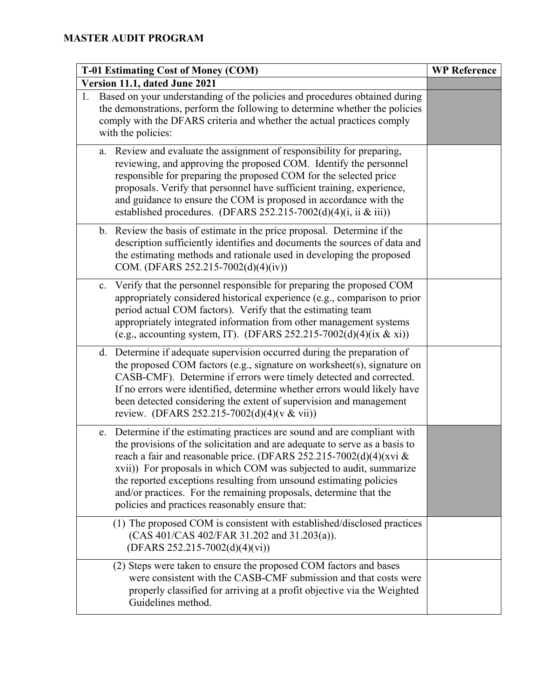| T-01 Estimating Cost of Money (COM)                                                                                                                                                                                                                                                                                                                                                                                                                                                               | <b>WP Reference</b> |
|---------------------------------------------------------------------------------------------------------------------------------------------------------------------------------------------------------------------------------------------------------------------------------------------------------------------------------------------------------------------------------------------------------------------------------------------------------------------------------------------------|---------------------|
| Version 11.1, dated June 2021                                                                                                                                                                                                                                                                                                                                                                                                                                                                     |                     |
| Based on your understanding of the policies and procedures obtained during<br>1.<br>the demonstrations, perform the following to determine whether the policies<br>comply with the DFARS criteria and whether the actual practices comply<br>with the policies:                                                                                                                                                                                                                                   |                     |
| Review and evaluate the assignment of responsibility for preparing,<br>a.<br>reviewing, and approving the proposed COM. Identify the personnel<br>responsible for preparing the proposed COM for the selected price<br>proposals. Verify that personnel have sufficient training, experience,<br>and guidance to ensure the COM is proposed in accordance with the<br>established procedures. (DFARS 252.215-7002(d)(4)(i, ii & iii))                                                             |                     |
| b. Review the basis of estimate in the price proposal. Determine if the<br>description sufficiently identifies and documents the sources of data and<br>the estimating methods and rationale used in developing the proposed<br>COM. (DFARS 252.215-7002(d)(4)(iv))                                                                                                                                                                                                                               |                     |
| c. Verify that the personnel responsible for preparing the proposed COM<br>appropriately considered historical experience (e.g., comparison to prior<br>period actual COM factors). Verify that the estimating team<br>appropriately integrated information from other management systems<br>(e.g., accounting system, IT). (DFARS 252.215-7002(d)(4)(ix & xi))                                                                                                                                   |                     |
| d. Determine if adequate supervision occurred during the preparation of<br>the proposed COM factors (e.g., signature on worksheet(s), signature on<br>CASB-CMF). Determine if errors were timely detected and corrected.<br>If no errors were identified, determine whether errors would likely have<br>been detected considering the extent of supervision and management<br>review. (DFARS 252.215-7002(d)(4)(v & vii))                                                                         |                     |
| e. Determine if the estimating practices are sound and are compliant with<br>the provisions of the solicitation and are adequate to serve as a basis to<br>reach a fair and reasonable price. (DFARS 252.215-7002(d)(4)(xvi &<br>xvii)) For proposals in which COM was subjected to audit, summarize<br>the reported exceptions resulting from unsound estimating policies<br>and/or practices. For the remaining proposals, determine that the<br>policies and practices reasonably ensure that: |                     |
| (1) The proposed COM is consistent with established/disclosed practices<br>(CAS 401/CAS 402/FAR 31.202 and 31.203(a)).<br>$(DFARS 252.215-7002(d)(4)(vi))$                                                                                                                                                                                                                                                                                                                                        |                     |
| (2) Steps were taken to ensure the proposed COM factors and bases<br>were consistent with the CASB-CMF submission and that costs were<br>properly classified for arriving at a profit objective via the Weighted<br>Guidelines method.                                                                                                                                                                                                                                                            |                     |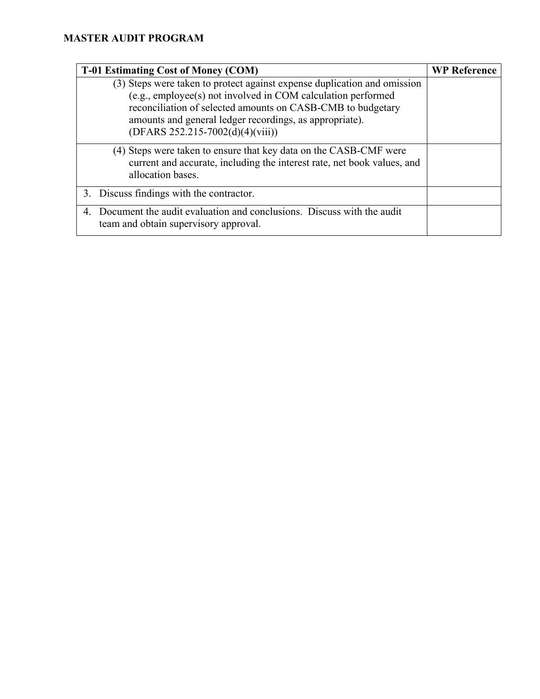| <b>T-01 Estimating Cost of Money (COM)</b>                                                                                                                                                                                                                                                               | <b>WP Reference</b> |
|----------------------------------------------------------------------------------------------------------------------------------------------------------------------------------------------------------------------------------------------------------------------------------------------------------|---------------------|
| (3) Steps were taken to protect against expense duplication and omission<br>(e.g., employee(s) not involved in COM calculation performed<br>reconciliation of selected amounts on CASB-CMB to budgetary<br>amounts and general ledger recordings, as appropriate).<br>$(DFARS 252.215-7002(d)(4)(viii))$ |                     |
| (4) Steps were taken to ensure that key data on the CASB-CMF were<br>current and accurate, including the interest rate, net book values, and<br>allocation bases.                                                                                                                                        |                     |
| 3. Discuss findings with the contractor.                                                                                                                                                                                                                                                                 |                     |
| Document the audit evaluation and conclusions. Discuss with the audit<br>4.<br>team and obtain supervisory approval.                                                                                                                                                                                     |                     |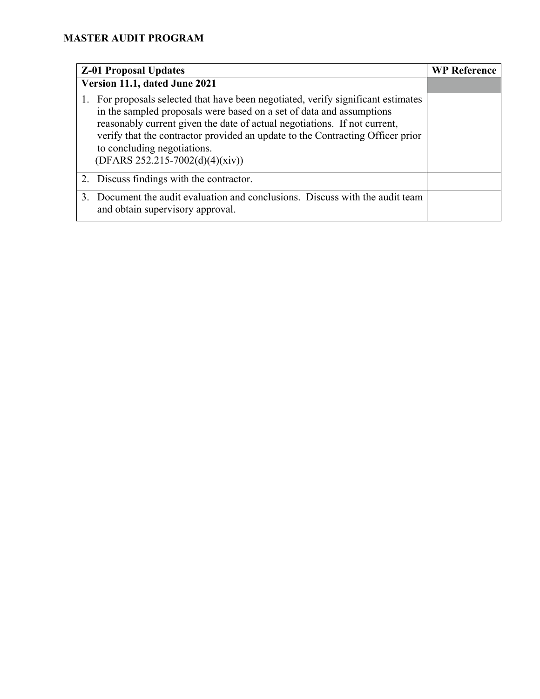|         | <b>Z-01 Proposal Updates</b>                                                                                                                                                                                                                                                                                                                                                                 | <b>WP Reference</b> |
|---------|----------------------------------------------------------------------------------------------------------------------------------------------------------------------------------------------------------------------------------------------------------------------------------------------------------------------------------------------------------------------------------------------|---------------------|
|         | Version 11.1, dated June 2021                                                                                                                                                                                                                                                                                                                                                                |                     |
|         | 1. For proposals selected that have been negotiated, verify significant estimates<br>in the sampled proposals were based on a set of data and assumptions<br>reasonably current given the date of actual negotiations. If not current,<br>verify that the contractor provided an update to the Contracting Officer prior<br>to concluding negotiations.<br>$(DFARS 252.215-7002(d)(4)(xiv))$ |                     |
|         | 2. Discuss findings with the contractor.                                                                                                                                                                                                                                                                                                                                                     |                     |
| $3_{-}$ | Document the audit evaluation and conclusions. Discuss with the audit team<br>and obtain supervisory approval.                                                                                                                                                                                                                                                                               |                     |